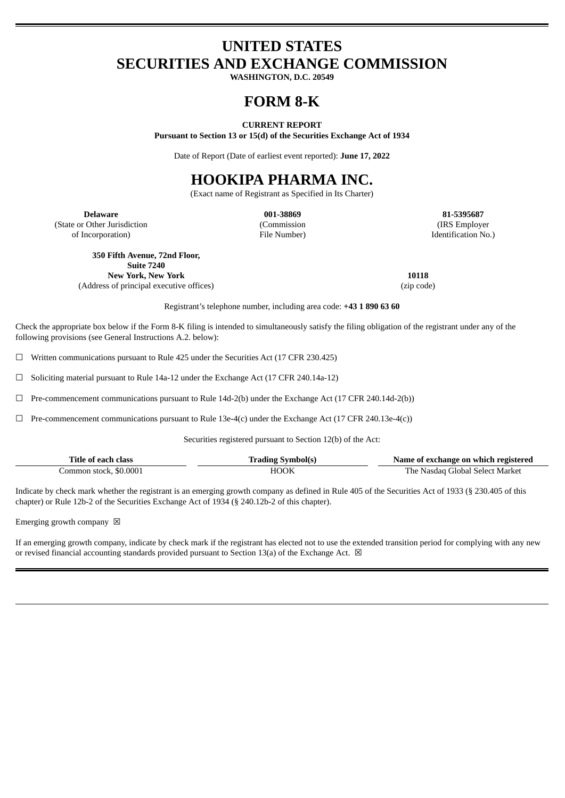# **UNITED STATES SECURITIES AND EXCHANGE COMMISSION**

**WASHINGTON, D.C. 20549**

# **FORM 8-K**

#### **CURRENT REPORT**

**Pursuant to Section 13 or 15(d) of the Securities Exchange Act of 1934**

Date of Report (Date of earliest event reported): **June 17, 2022**

# **HOOKIPA PHARMA INC.**

(Exact name of Registrant as Specified in Its Charter)

**Delaware 001-38869 81-5395687** (State or Other Jurisdiction of Incorporation)

(Commission File Number)

(IRS Employer Identification No.)

**350 Fifth Avenue, 72nd Floor,**

**Suite 7240 New York, New York 10118** (Address of principal executive offices) (zip code)

Registrant's telephone number, including area code: **+43 1 890 63 60**

Check the appropriate box below if the Form 8-K filing is intended to simultaneously satisfy the filing obligation of the registrant under any of the following provisions (see General Instructions A.2. below):

☐ Written communications pursuant to Rule 425 under the Securities Act (17 CFR 230.425)

☐ Soliciting material pursuant to Rule 14a-12 under the Exchange Act (17 CFR 240.14a-12)

 $\Box$  Pre-commencement communications pursuant to Rule 14d-2(b) under the Exchange Act (17 CFR 240.14d-2(b))

☐ Pre-commencement communications pursuant to Rule 13e-4(c) under the Exchange Act (17 CFR 240.13e-4(c))

Securities registered pursuant to Section 12(b) of the Act:

| Title of each class     | Trading Symbol(s) | Name of exchange on which registered |
|-------------------------|-------------------|--------------------------------------|
| Common stock, \$0.0001. | HOOK              | The Nasdag Global Select Market      |

Indicate by check mark whether the registrant is an emerging growth company as defined in Rule 405 of the Securities Act of 1933 (§ 230.405 of this chapter) or Rule 12b-2 of the Securities Exchange Act of 1934 (§ 240.12b-2 of this chapter).

Emerging growth company  $~\boxtimes~$ 

If an emerging growth company, indicate by check mark if the registrant has elected not to use the extended transition period for complying with any new or revised financial accounting standards provided pursuant to Section 13(a) of the Exchange Act.  $\boxtimes$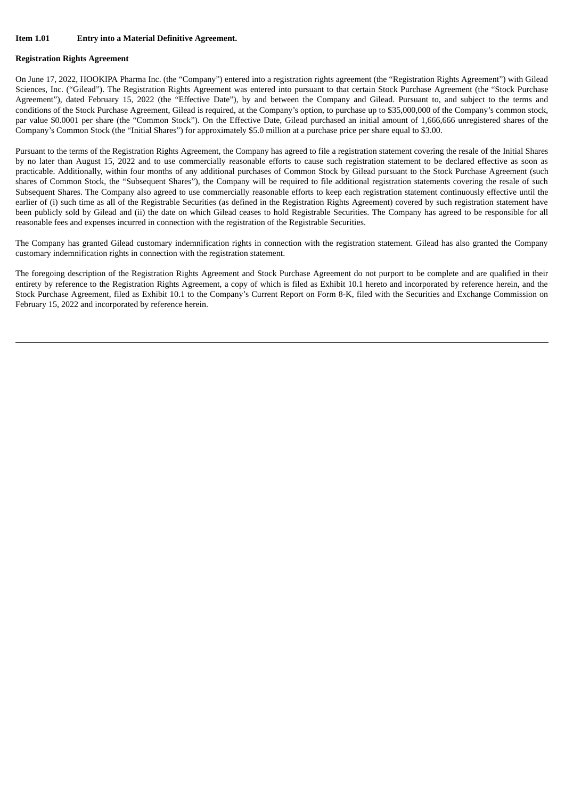#### **Registration Rights Agreement**

On June 17, 2022, HOOKIPA Pharma Inc. (the "Company") entered into a registration rights agreement (the "Registration Rights Agreement") with Gilead Sciences, Inc. ("Gilead"). The Registration Rights Agreement was entered into pursuant to that certain Stock Purchase Agreement (the "Stock Purchase Agreement"), dated February 15, 2022 (the "Effective Date"), by and between the Company and Gilead. Pursuant to, and subject to the terms and conditions of the Stock Purchase Agreement, Gilead is required, at the Company's option, to purchase up to \$35,000,000 of the Company's common stock, par value \$0.0001 per share (the "Common Stock"). On the Effective Date, Gilead purchased an initial amount of 1,666,666 unregistered shares of the Company's Common Stock (the "Initial Shares") for approximately \$5.0 million at a purchase price per share equal to \$3.00.

Pursuant to the terms of the Registration Rights Agreement, the Company has agreed to file a registration statement covering the resale of the Initial Shares by no later than August 15, 2022 and to use commercially reasonable efforts to cause such registration statement to be declared effective as soon as practicable. Additionally, within four months of any additional purchases of Common Stock by Gilead pursuant to the Stock Purchase Agreement (such shares of Common Stock, the "Subsequent Shares"), the Company will be required to file additional registration statements covering the resale of such Subsequent Shares. The Company also agreed to use commercially reasonable efforts to keep each registration statement continuously effective until the earlier of (i) such time as all of the Registrable Securities (as defined in the Registration Rights Agreement) covered by such registration statement have been publicly sold by Gilead and (ii) the date on which Gilead ceases to hold Registrable Securities. The Company has agreed to be responsible for all reasonable fees and expenses incurred in connection with the registration of the Registrable Securities.

The Company has granted Gilead customary indemnification rights in connection with the registration statement. Gilead has also granted the Company customary indemnification rights in connection with the registration statement.

The foregoing description of the Registration Rights Agreement and Stock Purchase Agreement do not purport to be complete and are qualified in their entirety by reference to the Registration Rights Agreement, a copy of which is filed as Exhibit 10.1 hereto and incorporated by reference herein, and the Stock Purchase Agreement, filed as Exhibit 10.1 to the Company's Current Report on Form 8-K, filed with the Securities and Exchange Commission on February 15, 2022 and incorporated by reference herein.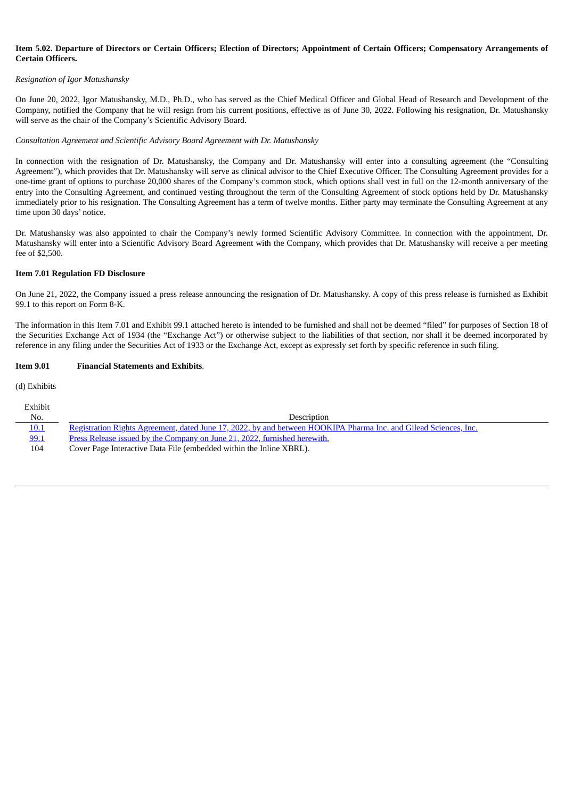### Item 5.02. Departure of Directors or Certain Officers: Election of Directors: Appointment of Certain Officers: Compensatory Arrangements of **Certain Officers.**

#### *Resignation of Igor Matushansky*

On June 20, 2022, Igor Matushansky, M.D., Ph.D., who has served as the Chief Medical Officer and Global Head of Research and Development of the Company, notified the Company that he will resign from his current positions, effective as of June 30, 2022. Following his resignation, Dr. Matushansky will serve as the chair of the Company's Scientific Advisory Board.

#### *Consultation Agreement and Scientific Advisory Board Agreement with Dr. Matushansky*

In connection with the resignation of Dr. Matushansky, the Company and Dr. Matushansky will enter into a consulting agreement (the "Consulting Agreement"), which provides that Dr. Matushansky will serve as clinical advisor to the Chief Executive Officer. The Consulting Agreement provides for a one-time grant of options to purchase 20,000 shares of the Company's common stock, which options shall vest in full on the 12-month anniversary of the entry into the Consulting Agreement, and continued vesting throughout the term of the Consulting Agreement of stock options held by Dr. Matushansky immediately prior to his resignation. The Consulting Agreement has a term of twelve months. Either party may terminate the Consulting Agreement at any time upon 30 days' notice.

Dr. Matushansky was also appointed to chair the Company's newly formed Scientific Advisory Committee. In connection with the appointment, Dr. Matushansky will enter into a Scientific Advisory Board Agreement with the Company, which provides that Dr. Matushansky will receive a per meeting fee of \$2,500.

#### **Item 7.01 Regulation FD Disclosure**

On June 21, 2022, the Company issued a press release announcing the resignation of Dr. Matushansky. A copy of this press release is furnished as Exhibit 99.1 to this report on Form 8-K.

The information in this Item 7.01 and Exhibit 99.1 attached hereto is intended to be furnished and shall not be deemed "filed" for purposes of Section 18 of the Securities Exchange Act of 1934 (the "Exchange Act") or otherwise subject to the liabilities of that section, nor shall it be deemed incorporated by reference in any filing under the Securities Act of 1933 or the Exchange Act, except as expressly set forth by specific reference in such filing.

#### **Item 9.01 Financial Statements and Exhibits**.

#### (d) Exhibits

| Exhibit     |                                                                                                                  |
|-------------|------------------------------------------------------------------------------------------------------------------|
| No.         | Description                                                                                                      |
| <u>10.1</u> | Registration Rights Agreement, dated June 17, 2022, by and between HOOKIPA Pharma Inc. and Gilead Sciences, Inc. |
| 99.1        | Press Release issued by the Company on June 21, 2022, furnished herewith.                                        |
| 104         | Cover Page Interactive Data File (embedded within the Inline XBRL).                                              |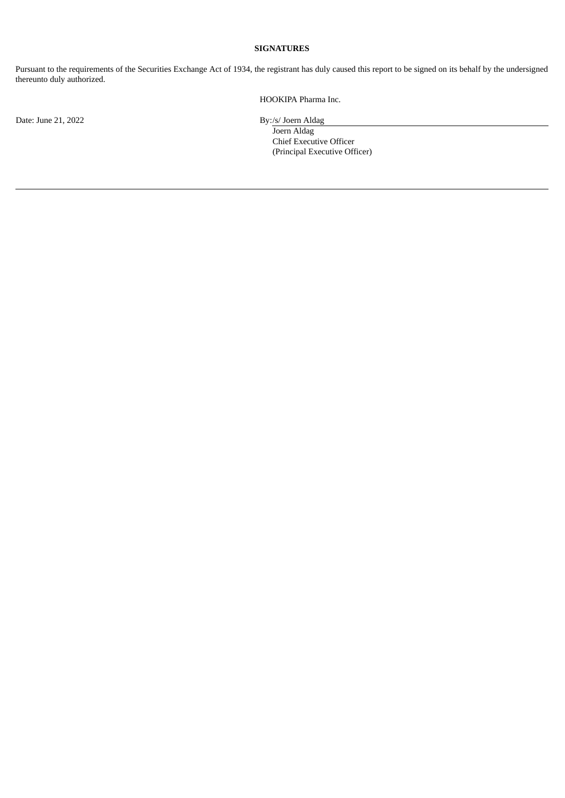## **SIGNATURES**

Pursuant to the requirements of the Securities Exchange Act of 1934, the registrant has duly caused this report to be signed on its behalf by the undersigned thereunto duly authorized.

HOOKIPA Pharma Inc.

Date: June 21, 2022 By:/s/ Joern Aldag

Joern Aldag Chief Executive Officer (Principal Executive Officer)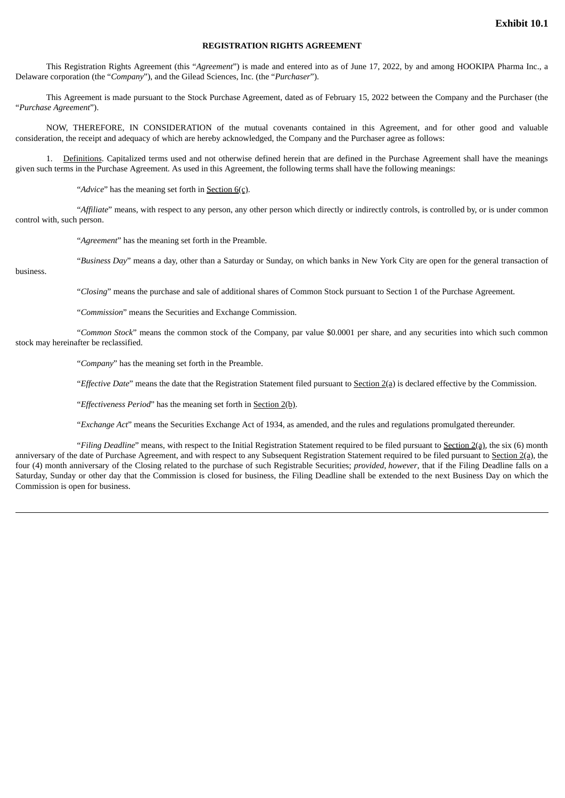### **REGISTRATION RIGHTS AGREEMENT**

<span id="page-4-0"></span>This Registration Rights Agreement (this "*Agreement*") is made and entered into as of June 17, 2022, by and among HOOKIPA Pharma Inc., a Delaware corporation (the "*Company*"), and the Gilead Sciences, Inc. (the "*Purchaser*").

This Agreement is made pursuant to the Stock Purchase Agreement, dated as of February 15, 2022 between the Company and the Purchaser (the "*Purchase Agreement*").

NOW, THEREFORE, IN CONSIDERATION of the mutual covenants contained in this Agreement, and for other good and valuable consideration, the receipt and adequacy of which are hereby acknowledged, the Company and the Purchaser agree as follows:

1. Definitions. Capitalized terms used and not otherwise defined herein that are defined in the Purchase Agreement shall have the meanings given such terms in the Purchase Agreement. As used in this Agreement, the following terms shall have the following meanings:

"*Advice*" has the meaning set forth in Section 6(c).

"*Affiliate*" means, with respect to any person, any other person which directly or indirectly controls, is controlled by, or is under common control with, such person.

"*Agreement*" has the meaning set forth in the Preamble.

"*Business Day*" means a day, other than a Saturday or Sunday, on which banks in New York City are open for the general transaction of

business.

"*Closing*" means the purchase and sale of additional shares of Common Stock pursuant to Section 1 of the Purchase Agreement.

"*Commission*" means the Securities and Exchange Commission.

"*Common Stock*" means the common stock of the Company, par value \$0.0001 per share, and any securities into which such common stock may hereinafter be reclassified.

"*Company*" has the meaning set forth in the Preamble.

"*Effective Date*" means the date that the Registration Statement filed pursuant to Section 2(a) is declared effective by the Commission.

"*Effectiveness Period*" has the meaning set forth in Section 2(b).

"*Exchange Act*" means the Securities Exchange Act of 1934, as amended, and the rules and regulations promulgated thereunder.

"*Filing Deadline*" means, with respect to the Initial Registration Statement required to be filed pursuant to Section 2(a), the six (6) month anniversary of the date of Purchase Agreement, and with respect to any Subsequent Registration Statement required to be filed pursuant to Section 2(a), the four (4) month anniversary of the Closing related to the purchase of such Registrable Securities; *provided, however*, that if the Filing Deadline falls on a Saturday, Sunday or other day that the Commission is closed for business, the Filing Deadline shall be extended to the next Business Day on which the Commission is open for business.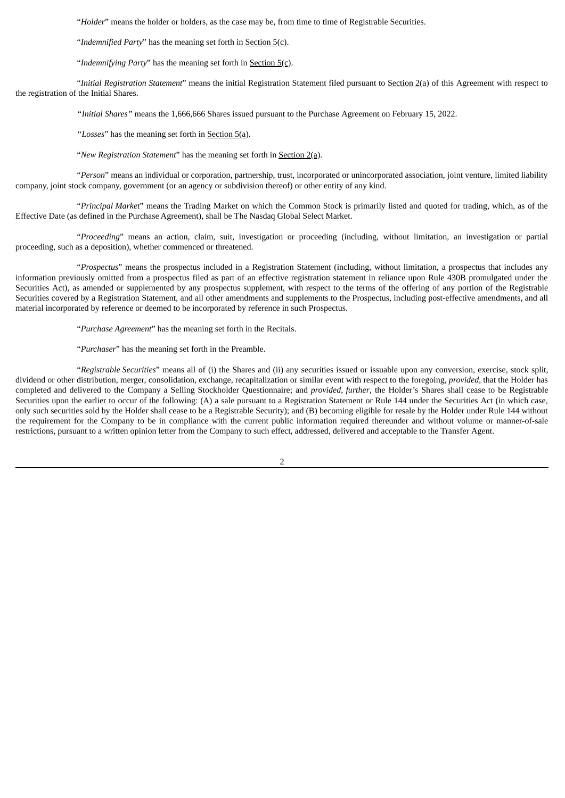"*Holder*" means the holder or holders, as the case may be, from time to time of Registrable Securities.

"*Indemnified Party*" has the meaning set forth in Section 5(c).

"Indemnifying Party" has the meaning set forth in **Section 5(c)**.

"*Initial Registration Statement*" means the initial Registration Statement filed pursuant to Section 2(a) of this Agreement with respect to the registration of the Initial Shares.

*"Initial Shares"* means the 1,666,666 Shares issued pursuant to the Purchase Agreement on February 15, 2022.

*"Losses*" has the meaning set forth in Section 5(a).

"*New Registration Statement*" has the meaning set forth in Section 2(a).

"*Person*" means an individual or corporation, partnership, trust, incorporated or unincorporated association, joint venture, limited liability company, joint stock company, government (or an agency or subdivision thereof) or other entity of any kind.

"*Principal Market*" means the Trading Market on which the Common Stock is primarily listed and quoted for trading, which, as of the Effective Date (as defined in the Purchase Agreement), shall be The Nasdaq Global Select Market.

"*Proceeding*" means an action, claim, suit, investigation or proceeding (including, without limitation, an investigation or partial proceeding, such as a deposition), whether commenced or threatened.

"*Prospectus*" means the prospectus included in a Registration Statement (including, without limitation, a prospectus that includes any information previously omitted from a prospectus filed as part of an effective registration statement in reliance upon Rule 430B promulgated under the Securities Act), as amended or supplemented by any prospectus supplement, with respect to the terms of the offering of any portion of the Registrable Securities covered by a Registration Statement, and all other amendments and supplements to the Prospectus, including post-effective amendments, and all material incorporated by reference or deemed to be incorporated by reference in such Prospectus.

"*Purchase Agreement*" has the meaning set forth in the Recitals.

"*Purchaser*" has the meaning set forth in the Preamble.

"*Registrable Securities*" means all of (i) the Shares and (ii) any securities issued or issuable upon any conversion, exercise, stock split, dividend or other distribution, merger, consolidation, exchange, recapitalization or similar event with respect to the foregoing, *provided*, that the Holder has completed and delivered to the Company a Selling Stockholder Questionnaire; and *provided, further*, the Holder's Shares shall cease to be Registrable Securities upon the earlier to occur of the following: (A) a sale pursuant to a Registration Statement or Rule 144 under the Securities Act (in which case, only such securities sold by the Holder shall cease to be a Registrable Security); and (B) becoming eligible for resale by the Holder under Rule 144 without the requirement for the Company to be in compliance with the current public information required thereunder and without volume or manner-of-sale restrictions, pursuant to a written opinion letter from the Company to such effect, addressed, delivered and acceptable to the Transfer Agent.

 $\overline{2}$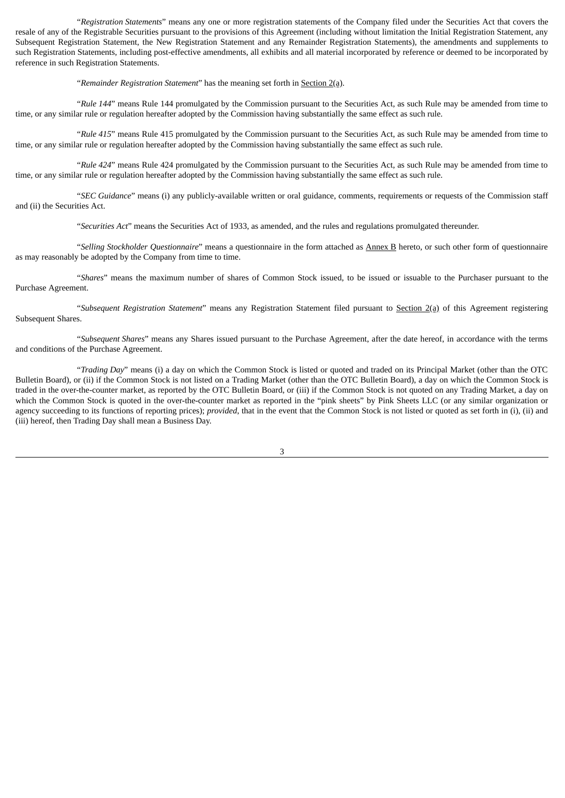"*Registration Statements*" means any one or more registration statements of the Company filed under the Securities Act that covers the resale of any of the Registrable Securities pursuant to the provisions of this Agreement (including without limitation the Initial Registration Statement, any Subsequent Registration Statement, the New Registration Statement and any Remainder Registration Statements), the amendments and supplements to such Registration Statements, including post-effective amendments, all exhibits and all material incorporated by reference or deemed to be incorporated by reference in such Registration Statements.

"*Remainder Registration Statement*" has the meaning set forth in Section 2(a).

"*Rule 144*" means Rule 144 promulgated by the Commission pursuant to the Securities Act, as such Rule may be amended from time to time, or any similar rule or regulation hereafter adopted by the Commission having substantially the same effect as such rule.

"*Rule 415*" means Rule 415 promulgated by the Commission pursuant to the Securities Act, as such Rule may be amended from time to time, or any similar rule or regulation hereafter adopted by the Commission having substantially the same effect as such rule.

"*Rule 424*" means Rule 424 promulgated by the Commission pursuant to the Securities Act, as such Rule may be amended from time to time, or any similar rule or regulation hereafter adopted by the Commission having substantially the same effect as such rule.

"*SEC Guidance*" means (i) any publicly-available written or oral guidance, comments, requirements or requests of the Commission staff and (ii) the Securities Act.

"*Securities Act*" means the Securities Act of 1933, as amended, and the rules and regulations promulgated thereunder.

"*Selling Stockholder Questionnaire*" means a questionnaire in the form attached as Annex B hereto, or such other form of questionnaire as may reasonably be adopted by the Company from time to time.

"*Shares*" means the maximum number of shares of Common Stock issued, to be issued or issuable to the Purchaser pursuant to the Purchase Agreement.

"*Subsequent Registration Statement*" means any Registration Statement filed pursuant to Section 2(a) of this Agreement registering Subsequent Shares.

"*Subsequent Shares*" means any Shares issued pursuant to the Purchase Agreement, after the date hereof, in accordance with the terms and conditions of the Purchase Agreement.

"*Trading Day*" means (i) a day on which the Common Stock is listed or quoted and traded on its Principal Market (other than the OTC Bulletin Board), or (ii) if the Common Stock is not listed on a Trading Market (other than the OTC Bulletin Board), a day on which the Common Stock is traded in the over-the-counter market, as reported by the OTC Bulletin Board, or (iii) if the Common Stock is not quoted on any Trading Market, a day on which the Common Stock is quoted in the over-the-counter market as reported in the "pink sheets" by Pink Sheets LLC (or any similar organization or agency succeeding to its functions of reporting prices); *provided*, that in the event that the Common Stock is not listed or quoted as set forth in (i), (ii) and (iii) hereof, then Trading Day shall mean a Business Day.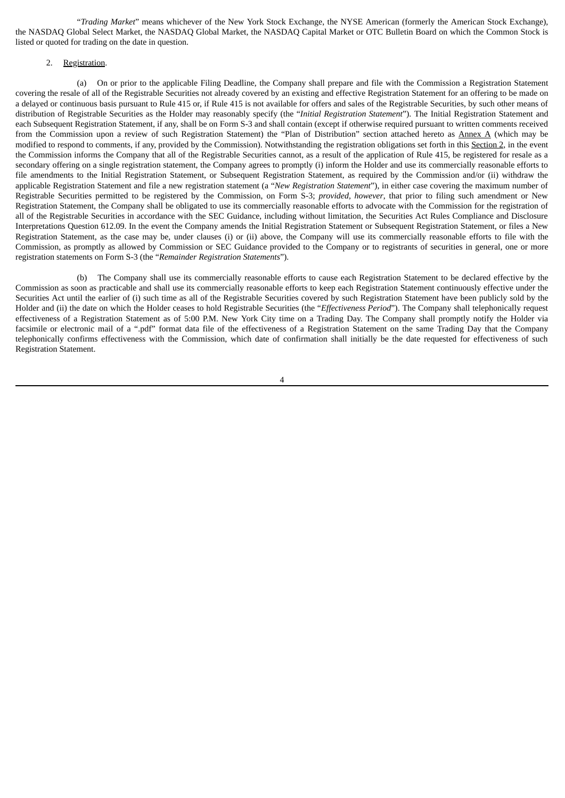"*Trading Market*" means whichever of the New York Stock Exchange, the NYSE American (formerly the American Stock Exchange), the NASDAQ Global Select Market, the NASDAQ Global Market, the NASDAQ Capital Market or OTC Bulletin Board on which the Common Stock is listed or quoted for trading on the date in question.

#### 2. Registration.

(a) On or prior to the applicable Filing Deadline, the Company shall prepare and file with the Commission a Registration Statement covering the resale of all of the Registrable Securities not already covered by an existing and effective Registration Statement for an offering to be made on a delayed or continuous basis pursuant to Rule 415 or, if Rule 415 is not available for offers and sales of the Registrable Securities, by such other means of distribution of Registrable Securities as the Holder may reasonably specify (the "*Initial Registration Statement*"). The Initial Registration Statement and each Subsequent Registration Statement, if any, shall be on Form S-3 and shall contain (except if otherwise required pursuant to written comments received from the Commission upon a review of such Registration Statement) the "Plan of Distribution" section attached hereto as Annex A (which may be modified to respond to comments, if any, provided by the Commission). Notwithstanding the registration obligations set forth in this Section 2, in the event the Commission informs the Company that all of the Registrable Securities cannot, as a result of the application of Rule 415, be registered for resale as a secondary offering on a single registration statement, the Company agrees to promptly (i) inform the Holder and use its commercially reasonable efforts to file amendments to the Initial Registration Statement, or Subsequent Registration Statement, as required by the Commission and/or (ii) withdraw the applicable Registration Statement and file a new registration statement (a "*New Registration Statement*"), in either case covering the maximum number of Registrable Securities permitted to be registered by the Commission, on Form S-3; *provided, however*, that prior to filing such amendment or New Registration Statement, the Company shall be obligated to use its commercially reasonable efforts to advocate with the Commission for the registration of all of the Registrable Securities in accordance with the SEC Guidance, including without limitation, the Securities Act Rules Compliance and Disclosure Interpretations Question 612.09. In the event the Company amends the Initial Registration Statement or Subsequent Registration Statement, or files a New Registration Statement, as the case may be, under clauses (i) or (ii) above, the Company will use its commercially reasonable efforts to file with the Commission, as promptly as allowed by Commission or SEC Guidance provided to the Company or to registrants of securities in general, one or more registration statements on Form S-3 (the "*Remainder Registration Statements*").

(b) The Company shall use its commercially reasonable efforts to cause each Registration Statement to be declared effective by the Commission as soon as practicable and shall use its commercially reasonable efforts to keep each Registration Statement continuously effective under the Securities Act until the earlier of (i) such time as all of the Registrable Securities covered by such Registration Statement have been publicly sold by the Holder and (ii) the date on which the Holder ceases to hold Registrable Securities (the "*Effectiveness Period*"). The Company shall telephonically request effectiveness of a Registration Statement as of 5:00 P.M. New York City time on a Trading Day. The Company shall promptly notify the Holder via facsimile or electronic mail of a ".pdf" format data file of the effectiveness of a Registration Statement on the same Trading Day that the Company telephonically confirms effectiveness with the Commission, which date of confirmation shall initially be the date requested for effectiveness of such Registration Statement.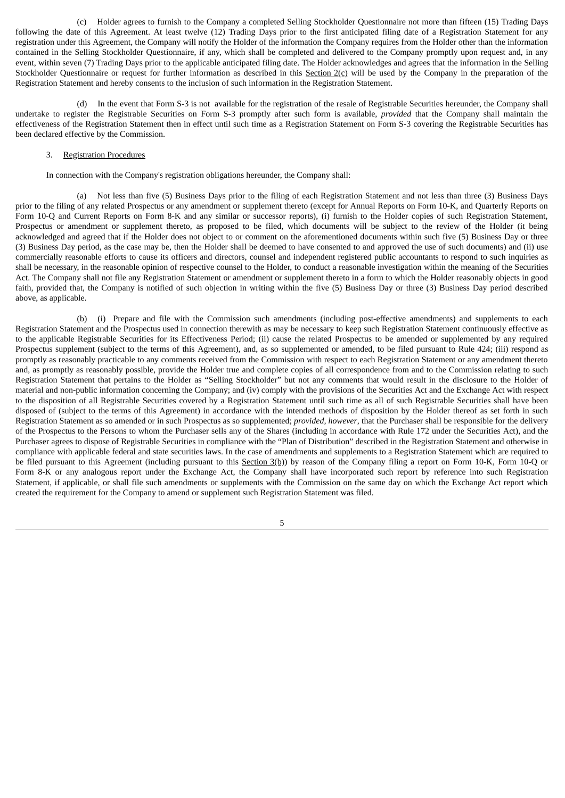(c) Holder agrees to furnish to the Company a completed Selling Stockholder Questionnaire not more than fifteen (15) Trading Days following the date of this Agreement. At least twelve (12) Trading Days prior to the first anticipated filing date of a Registration Statement for any registration under this Agreement, the Company will notify the Holder of the information the Company requires from the Holder other than the information contained in the Selling Stockholder Questionnaire, if any, which shall be completed and delivered to the Company promptly upon request and, in any event, within seven (7) Trading Days prior to the applicable anticipated filing date. The Holder acknowledges and agrees that the information in the Selling Stockholder Questionnaire or request for further information as described in this  $Section 2(c)$  will be used by the Company in the preparation of the Registration Statement and hereby consents to the inclusion of such information in the Registration Statement.

(d) In the event that Form S-3 is not available for the registration of the resale of Registrable Securities hereunder, the Company shall undertake to register the Registrable Securities on Form S-3 promptly after such form is available, *provided* that the Company shall maintain the effectiveness of the Registration Statement then in effect until such time as a Registration Statement on Form S-3 covering the Registrable Securities has been declared effective by the Commission.

#### 3. Registration Procedures

In connection with the Company's registration obligations hereunder, the Company shall:

(a) Not less than five (5) Business Days prior to the filing of each Registration Statement and not less than three (3) Business Days prior to the filing of any related Prospectus or any amendment or supplement thereto (except for Annual Reports on Form 10-K, and Quarterly Reports on Form 10-Q and Current Reports on Form 8-K and any similar or successor reports), (i) furnish to the Holder copies of such Registration Statement, Prospectus or amendment or supplement thereto, as proposed to be filed, which documents will be subject to the review of the Holder (it being acknowledged and agreed that if the Holder does not object to or comment on the aforementioned documents within such five (5) Business Day or three (3) Business Day period, as the case may be, then the Holder shall be deemed to have consented to and approved the use of such documents) and (ii) use commercially reasonable efforts to cause its officers and directors, counsel and independent registered public accountants to respond to such inquiries as shall be necessary, in the reasonable opinion of respective counsel to the Holder, to conduct a reasonable investigation within the meaning of the Securities Act. The Company shall not file any Registration Statement or amendment or supplement thereto in a form to which the Holder reasonably objects in good faith, provided that, the Company is notified of such objection in writing within the five (5) Business Day or three (3) Business Day period described above, as applicable.

(b) (i) Prepare and file with the Commission such amendments (including post-effective amendments) and supplements to each Registration Statement and the Prospectus used in connection therewith as may be necessary to keep such Registration Statement continuously effective as to the applicable Registrable Securities for its Effectiveness Period; (ii) cause the related Prospectus to be amended or supplemented by any required Prospectus supplement (subject to the terms of this Agreement), and, as so supplemented or amended, to be filed pursuant to Rule 424; (iii) respond as promptly as reasonably practicable to any comments received from the Commission with respect to each Registration Statement or any amendment thereto and, as promptly as reasonably possible, provide the Holder true and complete copies of all correspondence from and to the Commission relating to such Registration Statement that pertains to the Holder as "Selling Stockholder" but not any comments that would result in the disclosure to the Holder of material and non-public information concerning the Company; and (iv) comply with the provisions of the Securities Act and the Exchange Act with respect to the disposition of all Registrable Securities covered by a Registration Statement until such time as all of such Registrable Securities shall have been disposed of (subject to the terms of this Agreement) in accordance with the intended methods of disposition by the Holder thereof as set forth in such Registration Statement as so amended or in such Prospectus as so supplemented; *provided, however*, that the Purchaser shall be responsible for the delivery of the Prospectus to the Persons to whom the Purchaser sells any of the Shares (including in accordance with Rule 172 under the Securities Act), and the Purchaser agrees to dispose of Registrable Securities in compliance with the "Plan of Distribution" described in the Registration Statement and otherwise in compliance with applicable federal and state securities laws. In the case of amendments and supplements to a Registration Statement which are required to be filed pursuant to this Agreement (including pursuant to this Section 3(b)) by reason of the Company filing a report on Form 10-K, Form 10-Q or Form 8-K or any analogous report under the Exchange Act, the Company shall have incorporated such report by reference into such Registration Statement, if applicable, or shall file such amendments or supplements with the Commission on the same day on which the Exchange Act report which created the requirement for the Company to amend or supplement such Registration Statement was filed.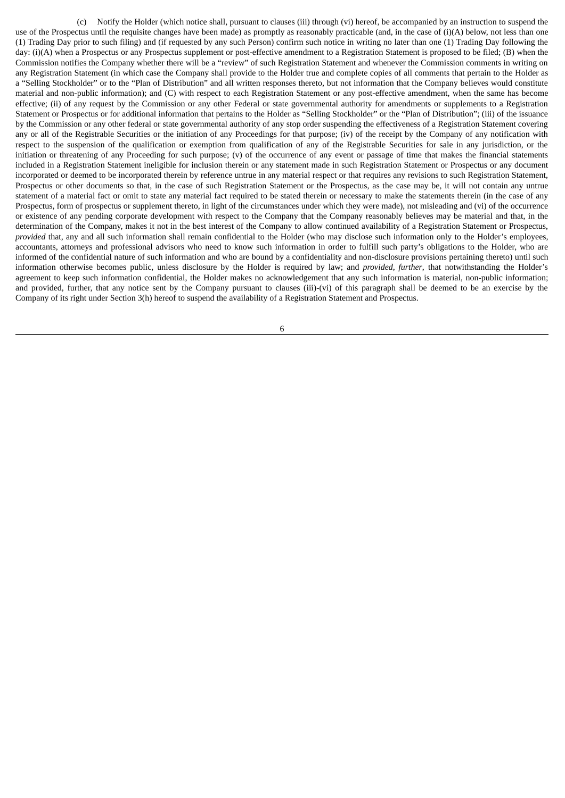(c) Notify the Holder (which notice shall, pursuant to clauses (iii) through (vi) hereof, be accompanied by an instruction to suspend the use of the Prospectus until the requisite changes have been made) as promptly as reasonably practicable (and, in the case of  $(i)(A)$  below, not less than one (1) Trading Day prior to such filing) and (if requested by any such Person) confirm such notice in writing no later than one (1) Trading Day following the day: (i)(A) when a Prospectus or any Prospectus supplement or post-effective amendment to a Registration Statement is proposed to be filed; (B) when the Commission notifies the Company whether there will be a "review" of such Registration Statement and whenever the Commission comments in writing on any Registration Statement (in which case the Company shall provide to the Holder true and complete copies of all comments that pertain to the Holder as a "Selling Stockholder" or to the "Plan of Distribution" and all written responses thereto, but not information that the Company believes would constitute material and non-public information); and (C) with respect to each Registration Statement or any post-effective amendment, when the same has become effective; (ii) of any request by the Commission or any other Federal or state governmental authority for amendments or supplements to a Registration Statement or Prospectus or for additional information that pertains to the Holder as "Selling Stockholder" or the "Plan of Distribution"; (iii) of the issuance by the Commission or any other federal or state governmental authority of any stop order suspending the effectiveness of a Registration Statement covering any or all of the Registrable Securities or the initiation of any Proceedings for that purpose; (iv) of the receipt by the Company of any notification with respect to the suspension of the qualification or exemption from qualification of any of the Registrable Securities for sale in any jurisdiction, or the initiation or threatening of any Proceeding for such purpose; (v) of the occurrence of any event or passage of time that makes the financial statements included in a Registration Statement ineligible for inclusion therein or any statement made in such Registration Statement or Prospectus or any document incorporated or deemed to be incorporated therein by reference untrue in any material respect or that requires any revisions to such Registration Statement, Prospectus or other documents so that, in the case of such Registration Statement or the Prospectus, as the case may be, it will not contain any untrue statement of a material fact or omit to state any material fact required to be stated therein or necessary to make the statements therein (in the case of any Prospectus, form of prospectus or supplement thereto, in light of the circumstances under which they were made), not misleading and (vi) of the occurrence or existence of any pending corporate development with respect to the Company that the Company reasonably believes may be material and that, in the determination of the Company, makes it not in the best interest of the Company to allow continued availability of a Registration Statement or Prospectus, *provided* that, any and all such information shall remain confidential to the Holder (who may disclose such information only to the Holder's employees, accountants, attorneys and professional advisors who need to know such information in order to fulfill such party's obligations to the Holder, who are informed of the confidential nature of such information and who are bound by a confidentiality and non-disclosure provisions pertaining thereto) until such information otherwise becomes public, unless disclosure by the Holder is required by law; and *provided*, *further*, that notwithstanding the Holder's agreement to keep such information confidential, the Holder makes no acknowledgement that any such information is material, non-public information; and provided, further, that any notice sent by the Company pursuant to clauses (iii)-(vi) of this paragraph shall be deemed to be an exercise by the Company of its right under Section 3(h) hereof to suspend the availability of a Registration Statement and Prospectus.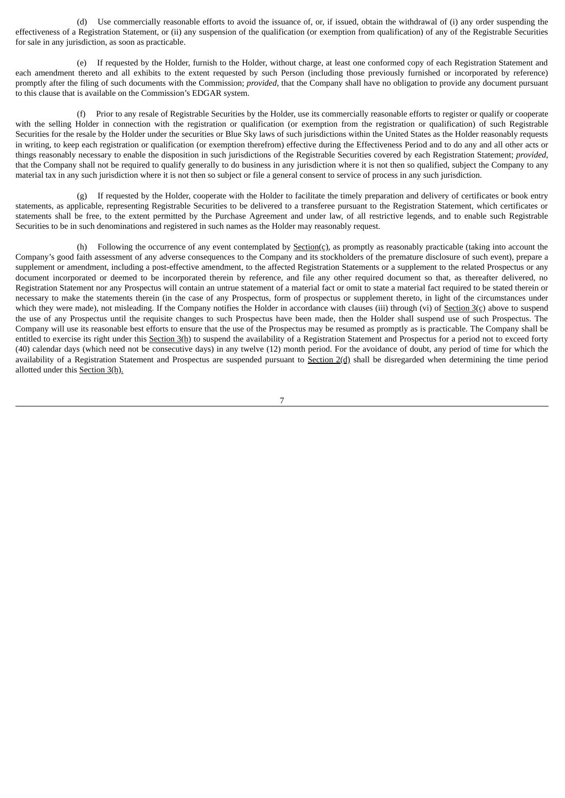(d) Use commercially reasonable efforts to avoid the issuance of, or, if issued, obtain the withdrawal of (i) any order suspending the effectiveness of a Registration Statement, or (ii) any suspension of the qualification (or exemption from qualification) of any of the Registrable Securities for sale in any jurisdiction, as soon as practicable.

(e) If requested by the Holder, furnish to the Holder, without charge, at least one conformed copy of each Registration Statement and each amendment thereto and all exhibits to the extent requested by such Person (including those previously furnished or incorporated by reference) promptly after the filing of such documents with the Commission; *provided*, that the Company shall have no obligation to provide any document pursuant to this clause that is available on the Commission's EDGAR system.

(f) Prior to any resale of Registrable Securities by the Holder, use its commercially reasonable efforts to register or qualify or cooperate with the selling Holder in connection with the registration or qualification (or exemption from the registration or qualification) of such Registrable Securities for the resale by the Holder under the securities or Blue Sky laws of such jurisdictions within the United States as the Holder reasonably requests in writing, to keep each registration or qualification (or exemption therefrom) effective during the Effectiveness Period and to do any and all other acts or things reasonably necessary to enable the disposition in such jurisdictions of the Registrable Securities covered by each Registration Statement; *provided*, that the Company shall not be required to qualify generally to do business in any jurisdiction where it is not then so qualified, subject the Company to any material tax in any such jurisdiction where it is not then so subject or file a general consent to service of process in any such jurisdiction.

(g) If requested by the Holder, cooperate with the Holder to facilitate the timely preparation and delivery of certificates or book entry statements, as applicable, representing Registrable Securities to be delivered to a transferee pursuant to the Registration Statement, which certificates or statements shall be free, to the extent permitted by the Purchase Agreement and under law, of all restrictive legends, and to enable such Registrable Securities to be in such denominations and registered in such names as the Holder may reasonably request.

(h) Following the occurrence of any event contemplated by Section(c), as promptly as reasonably practicable (taking into account the Company's good faith assessment of any adverse consequences to the Company and its stockholders of the premature disclosure of such event), prepare a supplement or amendment, including a post-effective amendment, to the affected Registration Statements or a supplement to the related Prospectus or any document incorporated or deemed to be incorporated therein by reference, and file any other required document so that, as thereafter delivered, no Registration Statement nor any Prospectus will contain an untrue statement of a material fact or omit to state a material fact required to be stated therein or necessary to make the statements therein (in the case of any Prospectus, form of prospectus or supplement thereto, in light of the circumstances under which they were made), not misleading. If the Company notifies the Holder in accordance with clauses (iii) through (vi) of Section 3(c) above to suspend the use of any Prospectus until the requisite changes to such Prospectus have been made, then the Holder shall suspend use of such Prospectus. The Company will use its reasonable best efforts to ensure that the use of the Prospectus may be resumed as promptly as is practicable. The Company shall be entitled to exercise its right under this Section 3(h) to suspend the availability of a Registration Statement and Prospectus for a period not to exceed forty (40) calendar days (which need not be consecutive days) in any twelve (12) month period. For the avoidance of doubt, any period of time for which the availability of a Registration Statement and Prospectus are suspended pursuant to Section 2(d) shall be disregarded when determining the time period allotted under this Section 3(h).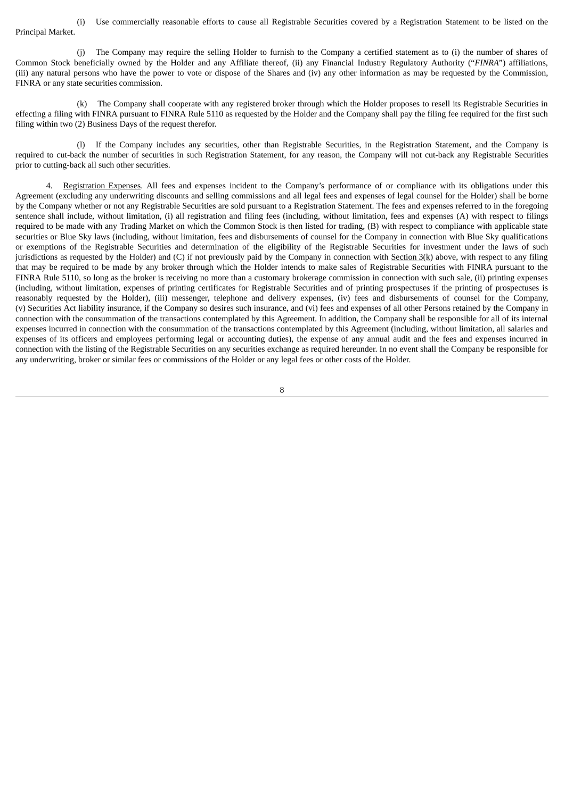(i) Use commercially reasonable efforts to cause all Registrable Securities covered by a Registration Statement to be listed on the Principal Market.

(j) The Company may require the selling Holder to furnish to the Company a certified statement as to (i) the number of shares of Common Stock beneficially owned by the Holder and any Affiliate thereof, (ii) any Financial Industry Regulatory Authority ("*FINRA*") affiliations, (iii) any natural persons who have the power to vote or dispose of the Shares and (iv) any other information as may be requested by the Commission, FINRA or any state securities commission.

(k) The Company shall cooperate with any registered broker through which the Holder proposes to resell its Registrable Securities in effecting a filing with FINRA pursuant to FINRA Rule 5110 as requested by the Holder and the Company shall pay the filing fee required for the first such filing within two (2) Business Days of the request therefor.

(l) If the Company includes any securities, other than Registrable Securities, in the Registration Statement, and the Company is required to cut-back the number of securities in such Registration Statement, for any reason, the Company will not cut-back any Registrable Securities prior to cutting-back all such other securities.

Registration Expenses. All fees and expenses incident to the Company's performance of or compliance with its obligations under this Agreement (excluding any underwriting discounts and selling commissions and all legal fees and expenses of legal counsel for the Holder) shall be borne by the Company whether or not any Registrable Securities are sold pursuant to a Registration Statement. The fees and expenses referred to in the foregoing sentence shall include, without limitation, (i) all registration and filing fees (including, without limitation, fees and expenses (A) with respect to filings required to be made with any Trading Market on which the Common Stock is then listed for trading, (B) with respect to compliance with applicable state securities or Blue Sky laws (including, without limitation, fees and disbursements of counsel for the Company in connection with Blue Sky qualifications or exemptions of the Registrable Securities and determination of the eligibility of the Registrable Securities for investment under the laws of such jurisdictions as requested by the Holder) and (C) if not previously paid by the Company in connection with Section  $3(k)$  above, with respect to any filing that may be required to be made by any broker through which the Holder intends to make sales of Registrable Securities with FINRA pursuant to the FINRA Rule 5110, so long as the broker is receiving no more than a customary brokerage commission in connection with such sale, (ii) printing expenses (including, without limitation, expenses of printing certificates for Registrable Securities and of printing prospectuses if the printing of prospectuses is reasonably requested by the Holder), (iii) messenger, telephone and delivery expenses, (iv) fees and disbursements of counsel for the Company, (v) Securities Act liability insurance, if the Company so desires such insurance, and (vi) fees and expenses of all other Persons retained by the Company in connection with the consummation of the transactions contemplated by this Agreement. In addition, the Company shall be responsible for all of its internal expenses incurred in connection with the consummation of the transactions contemplated by this Agreement (including, without limitation, all salaries and expenses of its officers and employees performing legal or accounting duties), the expense of any annual audit and the fees and expenses incurred in connection with the listing of the Registrable Securities on any securities exchange as required hereunder. In no event shall the Company be responsible for any underwriting, broker or similar fees or commissions of the Holder or any legal fees or other costs of the Holder.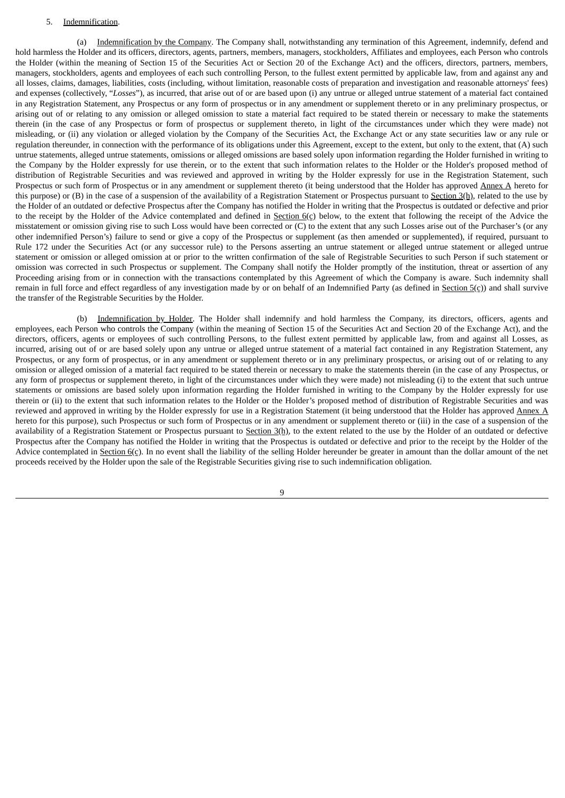#### 5. Indemnification.

(a) Indemnification by the Company. The Company shall, notwithstanding any termination of this Agreement, indemnify, defend and hold harmless the Holder and its officers, directors, agents, partners, members, managers, stockholders, Affiliates and employees, each Person who controls the Holder (within the meaning of Section 15 of the Securities Act or Section 20 of the Exchange Act) and the officers, directors, partners, members, managers, stockholders, agents and employees of each such controlling Person, to the fullest extent permitted by applicable law, from and against any and all losses, claims, damages, liabilities, costs (including, without limitation, reasonable costs of preparation and investigation and reasonable attorneys' fees) and expenses (collectively, "*Losses*"), as incurred, that arise out of or are based upon (i) any untrue or alleged untrue statement of a material fact contained in any Registration Statement, any Prospectus or any form of prospectus or in any amendment or supplement thereto or in any preliminary prospectus, or arising out of or relating to any omission or alleged omission to state a material fact required to be stated therein or necessary to make the statements therein (in the case of any Prospectus or form of prospectus or supplement thereto, in light of the circumstances under which they were made) not misleading, or (ii) any violation or alleged violation by the Company of the Securities Act, the Exchange Act or any state securities law or any rule or regulation thereunder, in connection with the performance of its obligations under this Agreement, except to the extent, but only to the extent, that (A) such untrue statements, alleged untrue statements, omissions or alleged omissions are based solely upon information regarding the Holder furnished in writing to the Company by the Holder expressly for use therein, or to the extent that such information relates to the Holder or the Holder's proposed method of distribution of Registrable Securities and was reviewed and approved in writing by the Holder expressly for use in the Registration Statement, such Prospectus or such form of Prospectus or in any amendment or supplement thereto (it being understood that the Holder has approved Annex A hereto for this purpose) or (B) in the case of a suspension of the availability of a Registration Statement or Prospectus pursuant to Section 3(h), related to the use by the Holder of an outdated or defective Prospectus after the Company has notified the Holder in writing that the Prospectus is outdated or defective and prior to the receipt by the Holder of the Advice contemplated and defined in Section  $6(c)$  below, to the extent that following the receipt of the Advice the misstatement or omission giving rise to such Loss would have been corrected or (C) to the extent that any such Losses arise out of the Purchaser's (or any other indemnified Person's) failure to send or give a copy of the Prospectus or supplement (as then amended or supplemented), if required, pursuant to Rule 172 under the Securities Act (or any successor rule) to the Persons asserting an untrue statement or alleged untrue statement or alleged untrue statement or omission or alleged omission at or prior to the written confirmation of the sale of Registrable Securities to such Person if such statement or omission was corrected in such Prospectus or supplement. The Company shall notify the Holder promptly of the institution, threat or assertion of any Proceeding arising from or in connection with the transactions contemplated by this Agreement of which the Company is aware. Such indemnity shall remain in full force and effect regardless of any investigation made by or on behalf of an Indemnified Party (as defined in Section 5(c)) and shall survive the transfer of the Registrable Securities by the Holder.

(b) Indemnification by Holder. The Holder shall indemnify and hold harmless the Company, its directors, officers, agents and employees, each Person who controls the Company (within the meaning of Section 15 of the Securities Act and Section 20 of the Exchange Act), and the directors, officers, agents or employees of such controlling Persons, to the fullest extent permitted by applicable law, from and against all Losses, as incurred, arising out of or are based solely upon any untrue or alleged untrue statement of a material fact contained in any Registration Statement, any Prospectus, or any form of prospectus, or in any amendment or supplement thereto or in any preliminary prospectus, or arising out of or relating to any omission or alleged omission of a material fact required to be stated therein or necessary to make the statements therein (in the case of any Prospectus, or any form of prospectus or supplement thereto, in light of the circumstances under which they were made) not misleading (i) to the extent that such untrue statements or omissions are based solely upon information regarding the Holder furnished in writing to the Company by the Holder expressly for use therein or (ii) to the extent that such information relates to the Holder or the Holder's proposed method of distribution of Registrable Securities and was reviewed and approved in writing by the Holder expressly for use in a Registration Statement (it being understood that the Holder has approved Annex A hereto for this purpose), such Prospectus or such form of Prospectus or in any amendment or supplement thereto or (iii) in the case of a suspension of the availability of a Registration Statement or Prospectus pursuant to Section 3(h), to the extent related to the use by the Holder of an outdated or defective Prospectus after the Company has notified the Holder in writing that the Prospectus is outdated or defective and prior to the receipt by the Holder of the Advice contemplated in Section 6(c). In no event shall the liability of the selling Holder hereunder be greater in amount than the dollar amount of the net proceeds received by the Holder upon the sale of the Registrable Securities giving rise to such indemnification obligation.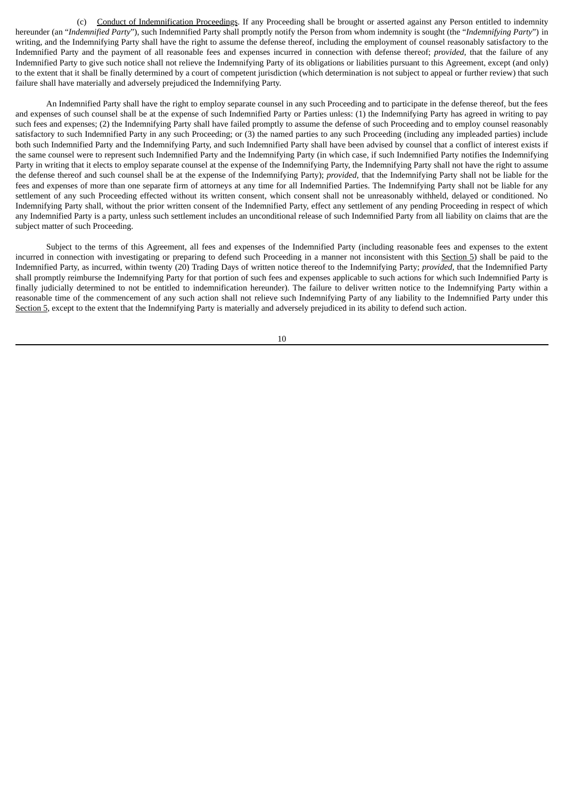(c) Conduct of Indemnification Proceedings. If any Proceeding shall be brought or asserted against any Person entitled to indemnity hereunder (an "*Indemnified Party*"), such Indemnified Party shall promptly notify the Person from whom indemnity is sought (the "*Indemnifying Party*") in writing, and the Indemnifying Party shall have the right to assume the defense thereof, including the employment of counsel reasonably satisfactory to the Indemnified Party and the payment of all reasonable fees and expenses incurred in connection with defense thereof; *provided*, that the failure of any Indemnified Party to give such notice shall not relieve the Indemnifying Party of its obligations or liabilities pursuant to this Agreement, except (and only) to the extent that it shall be finally determined by a court of competent jurisdiction (which determination is not subject to appeal or further review) that such failure shall have materially and adversely prejudiced the Indemnifying Party.

An Indemnified Party shall have the right to employ separate counsel in any such Proceeding and to participate in the defense thereof, but the fees and expenses of such counsel shall be at the expense of such Indemnified Party or Parties unless: (1) the Indemnifying Party has agreed in writing to pay such fees and expenses; (2) the Indemnifying Party shall have failed promptly to assume the defense of such Proceeding and to employ counsel reasonably satisfactory to such Indemnified Party in any such Proceeding; or (3) the named parties to any such Proceeding (including any impleaded parties) include both such Indemnified Party and the Indemnifying Party, and such Indemnified Party shall have been advised by counsel that a conflict of interest exists if the same counsel were to represent such Indemnified Party and the Indemnifying Party (in which case, if such Indemnified Party notifies the Indemnifying Party in writing that it elects to employ separate counsel at the expense of the Indemnifying Party, the Indemnifying Party shall not have the right to assume the defense thereof and such counsel shall be at the expense of the Indemnifying Party); *provided*, that the Indemnifying Party shall not be liable for the fees and expenses of more than one separate firm of attorneys at any time for all Indemnified Parties. The Indemnifying Party shall not be liable for any settlement of any such Proceeding effected without its written consent, which consent shall not be unreasonably withheld, delayed or conditioned. No Indemnifying Party shall, without the prior written consent of the Indemnified Party, effect any settlement of any pending Proceeding in respect of which any Indemnified Party is a party, unless such settlement includes an unconditional release of such Indemnified Party from all liability on claims that are the subject matter of such Proceeding.

Subject to the terms of this Agreement, all fees and expenses of the Indemnified Party (including reasonable fees and expenses to the extent incurred in connection with investigating or preparing to defend such Proceeding in a manner not inconsistent with this Section 5) shall be paid to the Indemnified Party, as incurred, within twenty (20) Trading Days of written notice thereof to the Indemnifying Party; *provided*, that the Indemnified Party shall promptly reimburse the Indemnifying Party for that portion of such fees and expenses applicable to such actions for which such Indemnified Party is finally judicially determined to not be entitled to indemnification hereunder). The failure to deliver written notice to the Indemnifying Party within a reasonable time of the commencement of any such action shall not relieve such Indemnifying Party of any liability to the Indemnified Party under this Section 5, except to the extent that the Indemnifying Party is materially and adversely prejudiced in its ability to defend such action.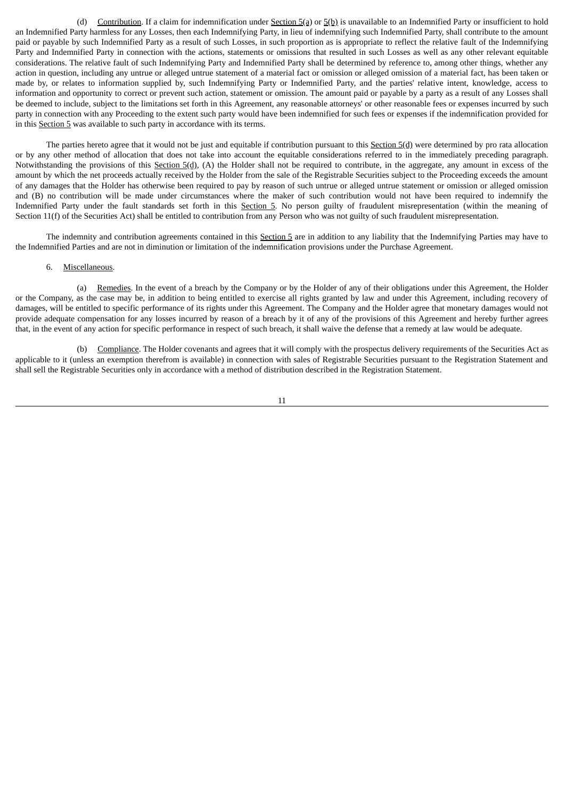(d) Contribution. If a claim for indemnification under Section  $5(2)$  or  $5(2)$  is unavailable to an Indemnified Party or insufficient to hold an Indemnified Party harmless for any Losses, then each Indemnifying Party, in lieu of indemnifying such Indemnified Party, shall contribute to the amount paid or payable by such Indemnified Party as a result of such Losses, in such proportion as is appropriate to reflect the relative fault of the Indemnifying Party and Indemnified Party in connection with the actions, statements or omissions that resulted in such Losses as well as any other relevant equitable considerations. The relative fault of such Indemnifying Party and Indemnified Party shall be determined by reference to, among other things, whether any action in question, including any untrue or alleged untrue statement of a material fact or omission or alleged omission of a material fact, has been taken or made by, or relates to information supplied by, such Indemnifying Party or Indemnified Party, and the parties' relative intent, knowledge, access to information and opportunity to correct or prevent such action, statement or omission. The amount paid or payable by a party as a result of any Losses shall be deemed to include, subject to the limitations set forth in this Agreement, any reasonable attorneys' or other reasonable fees or expenses incurred by such party in connection with any Proceeding to the extent such party would have been indemnified for such fees or expenses if the indemnification provided for in this Section 5 was available to such party in accordance with its terms.

The parties hereto agree that it would not be just and equitable if contribution pursuant to this  $Section 5(d)$  were determined by pro rata allocation</u> or by any other method of allocation that does not take into account the equitable considerations referred to in the immediately preceding paragraph. Notwithstanding the provisions of this Section 5(d), (A) the Holder shall not be required to contribute, in the aggregate, any amount in excess of the amount by which the net proceeds actually received by the Holder from the sale of the Registrable Securities subject to the Proceeding exceeds the amount of any damages that the Holder has otherwise been required to pay by reason of such untrue or alleged untrue statement or omission or alleged omission and (B) no contribution will be made under circumstances where the maker of such contribution would not have been required to indemnify the Indemnified Party under the fault standards set forth in this Section 5. No person guilty of fraudulent misrepresentation (within the meaning of Section 11(f) of the Securities Act) shall be entitled to contribution from any Person who was not guilty of such fraudulent misrepresentation.

The indemnity and contribution agreements contained in this Section 5 are in addition to any liability that the Indemnifying Parties may have to the Indemnified Parties and are not in diminution or limitation of the indemnification provisions under the Purchase Agreement.

#### 6. Miscellaneous.

(a) Remedies. In the event of a breach by the Company or by the Holder of any of their obligations under this Agreement, the Holder or the Company, as the case may be, in addition to being entitled to exercise all rights granted by law and under this Agreement, including recovery of damages, will be entitled to specific performance of its rights under this Agreement. The Company and the Holder agree that monetary damages would not provide adequate compensation for any losses incurred by reason of a breach by it of any of the provisions of this Agreement and hereby further agrees that, in the event of any action for specific performance in respect of such breach, it shall waive the defense that a remedy at law would be adequate.

(b) Compliance. The Holder covenants and agrees that it will comply with the prospectus delivery requirements of the Securities Act as applicable to it (unless an exemption therefrom is available) in connection with sales of Registrable Securities pursuant to the Registration Statement and shall sell the Registrable Securities only in accordance with a method of distribution described in the Registration Statement.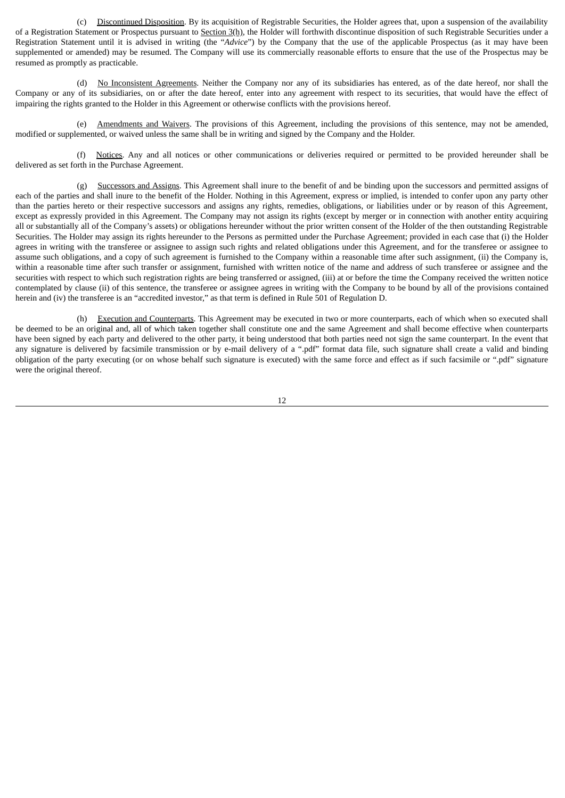(c) Discontinued Disposition. By its acquisition of Registrable Securities, the Holder agrees that, upon a suspension of the availability of a Registration Statement or Prospectus pursuant to Section 3(h), the Holder will forthwith discontinue disposition of such Registrable Securities under a Registration Statement until it is advised in writing (the "*Advice*") by the Company that the use of the applicable Prospectus (as it may have been supplemented or amended) may be resumed. The Company will use its commercially reasonable efforts to ensure that the use of the Prospectus may be resumed as promptly as practicable.

(d) No Inconsistent Agreements. Neither the Company nor any of its subsidiaries has entered, as of the date hereof, nor shall the Company or any of its subsidiaries, on or after the date hereof, enter into any agreement with respect to its securities, that would have the effect of impairing the rights granted to the Holder in this Agreement or otherwise conflicts with the provisions hereof.

(e) Amendments and Waivers. The provisions of this Agreement, including the provisions of this sentence, may not be amended, modified or supplemented, or waived unless the same shall be in writing and signed by the Company and the Holder.

(f) Notices. Any and all notices or other communications or deliveries required or permitted to be provided hereunder shall be delivered as set forth in the Purchase Agreement.

(g) Successors and Assigns. This Agreement shall inure to the benefit of and be binding upon the successors and permitted assigns of each of the parties and shall inure to the benefit of the Holder. Nothing in this Agreement, express or implied, is intended to confer upon any party other than the parties hereto or their respective successors and assigns any rights, remedies, obligations, or liabilities under or by reason of this Agreement, except as expressly provided in this Agreement. The Company may not assign its rights (except by merger or in connection with another entity acquiring all or substantially all of the Company's assets) or obligations hereunder without the prior written consent of the Holder of the then outstanding Registrable Securities. The Holder may assign its rights hereunder to the Persons as permitted under the Purchase Agreement; provided in each case that (i) the Holder agrees in writing with the transferee or assignee to assign such rights and related obligations under this Agreement, and for the transferee or assignee to assume such obligations, and a copy of such agreement is furnished to the Company within a reasonable time after such assignment, (ii) the Company is, within a reasonable time after such transfer or assignment, furnished with written notice of the name and address of such transferee or assignee and the securities with respect to which such registration rights are being transferred or assigned, (iii) at or before the time the Company received the written notice contemplated by clause (ii) of this sentence, the transferee or assignee agrees in writing with the Company to be bound by all of the provisions contained herein and (iv) the transferee is an "accredited investor," as that term is defined in Rule 501 of Regulation D.

(h) Execution and Counterparts. This Agreement may be executed in two or more counterparts, each of which when so executed shall be deemed to be an original and, all of which taken together shall constitute one and the same Agreement and shall become effective when counterparts have been signed by each party and delivered to the other party, it being understood that both parties need not sign the same counterpart. In the event that any signature is delivered by facsimile transmission or by e-mail delivery of a ".pdf" format data file, such signature shall create a valid and binding obligation of the party executing (or on whose behalf such signature is executed) with the same force and effect as if such facsimile or ".pdf" signature were the original thereof.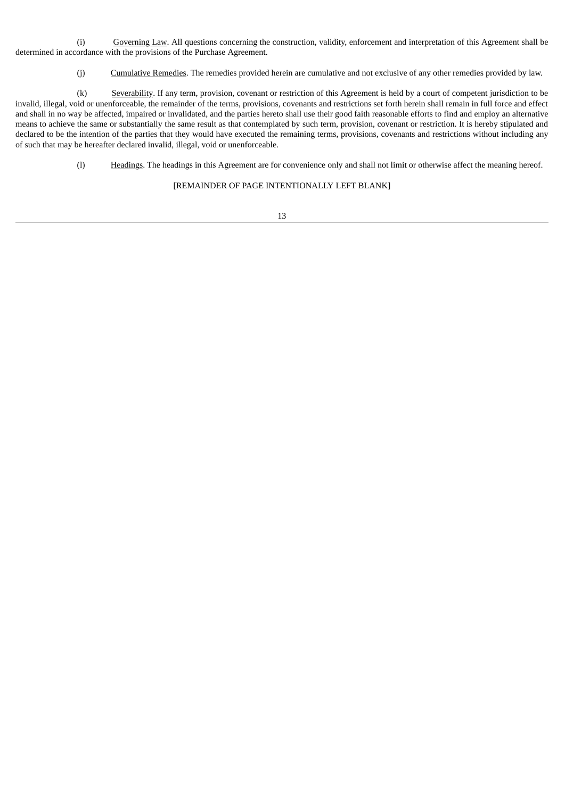(i) Governing Law. All questions concerning the construction, validity, enforcement and interpretation of this Agreement shall be determined in accordance with the provisions of the Purchase Agreement.

(j) Cumulative Remedies. The remedies provided herein are cumulative and not exclusive of any other remedies provided by law.

(k) Severability. If any term, provision, covenant or restriction of this Agreement is held by a court of competent jurisdiction to be invalid, illegal, void or unenforceable, the remainder of the terms, provisions, covenants and restrictions set forth herein shall remain in full force and effect and shall in no way be affected, impaired or invalidated, and the parties hereto shall use their good faith reasonable efforts to find and employ an alternative means to achieve the same or substantially the same result as that contemplated by such term, provision, covenant or restriction. It is hereby stipulated and declared to be the intention of the parties that they would have executed the remaining terms, provisions, covenants and restrictions without including any of such that may be hereafter declared invalid, illegal, void or unenforceable.

(l) Headings. The headings in this Agreement are for convenience only and shall not limit or otherwise affect the meaning hereof.

[REMAINDER OF PAGE INTENTIONALLY LEFT BLANK]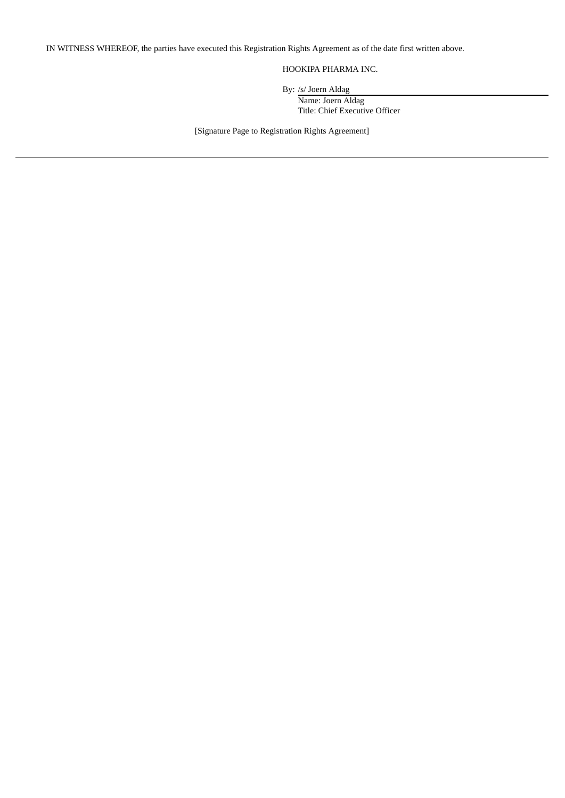IN WITNESS WHEREOF, the parties have executed this Registration Rights Agreement as of the date first written above.

## HOOKIPA PHARMA INC.

By: /s/ Joern Aldag

Name: Joern Aldag Title: Chief Executive Officer

[Signature Page to Registration Rights Agreement]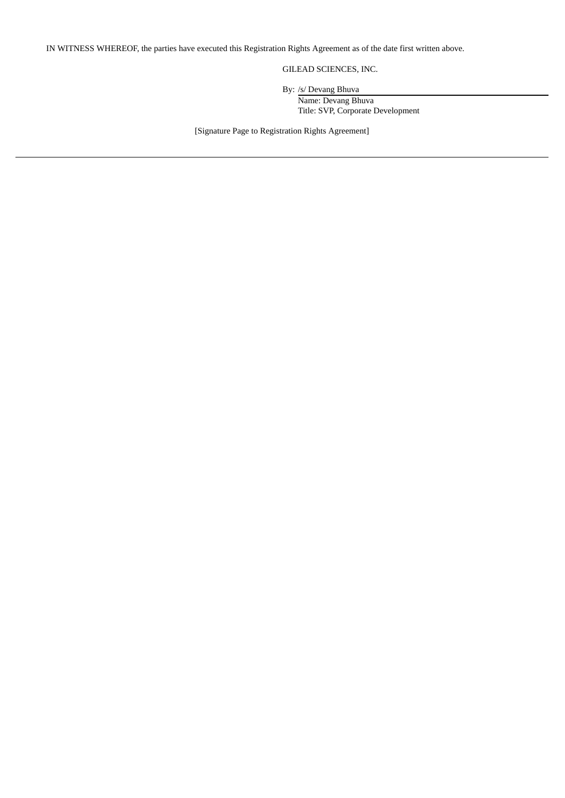IN WITNESS WHEREOF, the parties have executed this Registration Rights Agreement as of the date first written above.

GILEAD SCIENCES, INC.

By: /s/ Devang Bhuva

Name: Devang Bhuva Title: SVP, Corporate Development

[Signature Page to Registration Rights Agreement]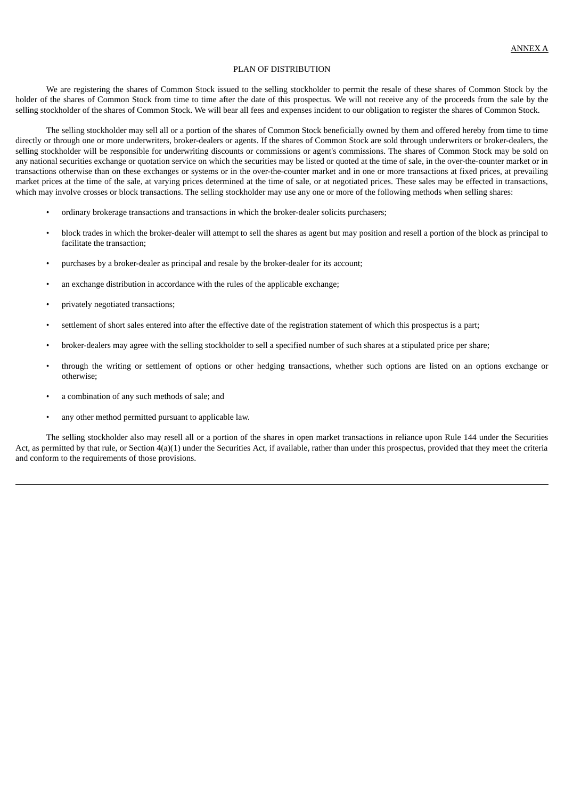#### PLAN OF DISTRIBUTION

We are registering the shares of Common Stock issued to the selling stockholder to permit the resale of these shares of Common Stock by the holder of the shares of Common Stock from time to time after the date of this prospectus. We will not receive any of the proceeds from the sale by the selling stockholder of the shares of Common Stock. We will bear all fees and expenses incident to our obligation to register the shares of Common Stock.

The selling stockholder may sell all or a portion of the shares of Common Stock beneficially owned by them and offered hereby from time to time directly or through one or more underwriters, broker-dealers or agents. If the shares of Common Stock are sold through underwriters or broker-dealers, the selling stockholder will be responsible for underwriting discounts or commissions or agent's commissions. The shares of Common Stock may be sold on any national securities exchange or quotation service on which the securities may be listed or quoted at the time of sale, in the over-the-counter market or in transactions otherwise than on these exchanges or systems or in the over-the-counter market and in one or more transactions at fixed prices, at prevailing market prices at the time of the sale, at varying prices determined at the time of sale, or at negotiated prices. These sales may be effected in transactions, which may involve crosses or block transactions. The selling stockholder may use any one or more of the following methods when selling shares:

- ordinary brokerage transactions and transactions in which the broker-dealer solicits purchasers;
- block trades in which the broker-dealer will attempt to sell the shares as agent but may position and resell a portion of the block as principal to facilitate the transaction;
- purchases by a broker-dealer as principal and resale by the broker-dealer for its account;
- an exchange distribution in accordance with the rules of the applicable exchange;
- privately negotiated transactions;
- settlement of short sales entered into after the effective date of the registration statement of which this prospectus is a part;
- broker-dealers may agree with the selling stockholder to sell a specified number of such shares at a stipulated price per share;
- through the writing or settlement of options or other hedging transactions, whether such options are listed on an options exchange or otherwise;
- a combination of any such methods of sale; and
- any other method permitted pursuant to applicable law.

The selling stockholder also may resell all or a portion of the shares in open market transactions in reliance upon Rule 144 under the Securities Act, as permitted by that rule, or Section 4(a)(1) under the Securities Act, if available, rather than under this prospectus, provided that they meet the criteria and conform to the requirements of those provisions.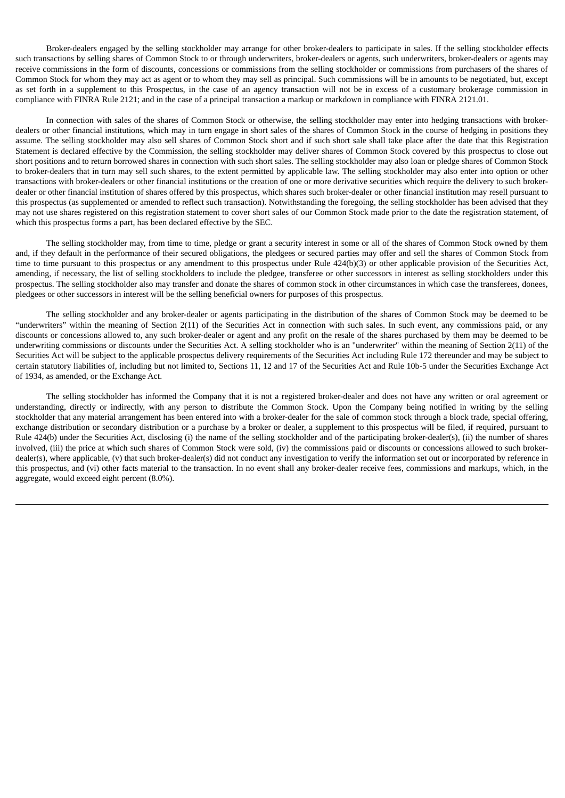Broker-dealers engaged by the selling stockholder may arrange for other broker-dealers to participate in sales. If the selling stockholder effects such transactions by selling shares of Common Stock to or through underwriters, broker-dealers or agents, such underwriters, broker-dealers or agents may receive commissions in the form of discounts, concessions or commissions from the selling stockholder or commissions from purchasers of the shares of Common Stock for whom they may act as agent or to whom they may sell as principal. Such commissions will be in amounts to be negotiated, but, except as set forth in a supplement to this Prospectus, in the case of an agency transaction will not be in excess of a customary brokerage commission in compliance with FINRA Rule 2121; and in the case of a principal transaction a markup or markdown in compliance with FINRA 2121.01.

In connection with sales of the shares of Common Stock or otherwise, the selling stockholder may enter into hedging transactions with brokerdealers or other financial institutions, which may in turn engage in short sales of the shares of Common Stock in the course of hedging in positions they assume. The selling stockholder may also sell shares of Common Stock short and if such short sale shall take place after the date that this Registration Statement is declared effective by the Commission, the selling stockholder may deliver shares of Common Stock covered by this prospectus to close out short positions and to return borrowed shares in connection with such short sales. The selling stockholder may also loan or pledge shares of Common Stock to broker-dealers that in turn may sell such shares, to the extent permitted by applicable law. The selling stockholder may also enter into option or other transactions with broker-dealers or other financial institutions or the creation of one or more derivative securities which require the delivery to such brokerdealer or other financial institution of shares offered by this prospectus, which shares such broker-dealer or other financial institution may resell pursuant to this prospectus (as supplemented or amended to reflect such transaction). Notwithstanding the foregoing, the selling stockholder has been advised that they may not use shares registered on this registration statement to cover short sales of our Common Stock made prior to the date the registration statement, of which this prospectus forms a part, has been declared effective by the SEC.

The selling stockholder may, from time to time, pledge or grant a security interest in some or all of the shares of Common Stock owned by them and, if they default in the performance of their secured obligations, the pledgees or secured parties may offer and sell the shares of Common Stock from time to time pursuant to this prospectus or any amendment to this prospectus under Rule 424(b)(3) or other applicable provision of the Securities Act, amending, if necessary, the list of selling stockholders to include the pledgee, transferee or other successors in interest as selling stockholders under this prospectus. The selling stockholder also may transfer and donate the shares of common stock in other circumstances in which case the transferees, donees, pledgees or other successors in interest will be the selling beneficial owners for purposes of this prospectus.

The selling stockholder and any broker-dealer or agents participating in the distribution of the shares of Common Stock may be deemed to be "underwriters" within the meaning of Section 2(11) of the Securities Act in connection with such sales. In such event, any commissions paid, or any discounts or concessions allowed to, any such broker-dealer or agent and any profit on the resale of the shares purchased by them may be deemed to be underwriting commissions or discounts under the Securities Act. A selling stockholder who is an "underwriter" within the meaning of Section 2(11) of the Securities Act will be subject to the applicable prospectus delivery requirements of the Securities Act including Rule 172 thereunder and may be subject to certain statutory liabilities of, including but not limited to, Sections 11, 12 and 17 of the Securities Act and Rule 10b-5 under the Securities Exchange Act of 1934, as amended, or the Exchange Act.

The selling stockholder has informed the Company that it is not a registered broker-dealer and does not have any written or oral agreement or understanding, directly or indirectly, with any person to distribute the Common Stock. Upon the Company being notified in writing by the selling stockholder that any material arrangement has been entered into with a broker-dealer for the sale of common stock through a block trade, special offering, exchange distribution or secondary distribution or a purchase by a broker or dealer, a supplement to this prospectus will be filed, if required, pursuant to Rule 424(b) under the Securities Act, disclosing (i) the name of the selling stockholder and of the participating broker-dealer(s), (ii) the number of shares involved, (iii) the price at which such shares of Common Stock were sold, (iv) the commissions paid or discounts or concessions allowed to such brokerdealer(s), where applicable, (v) that such broker-dealer(s) did not conduct any investigation to verify the information set out or incorporated by reference in this prospectus, and (vi) other facts material to the transaction. In no event shall any broker-dealer receive fees, commissions and markups, which, in the aggregate, would exceed eight percent (8.0%).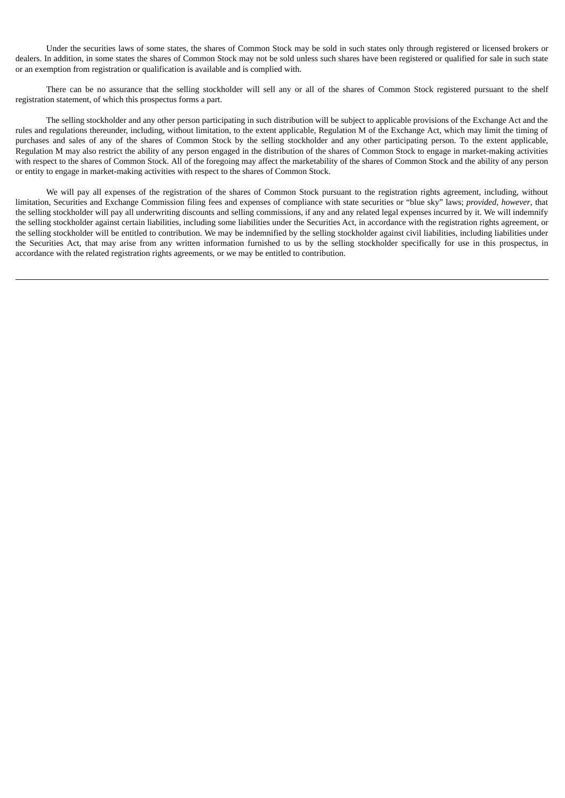Under the securities laws of some states, the shares of Common Stock may be sold in such states only through registered or licensed brokers or dealers. In addition, in some states the shares of Common Stock may not be sold unless such shares have been registered or qualified for sale in such state or an exemption from registration or qualification is available and is complied with.

There can be no assurance that the selling stockholder will sell any or all of the shares of Common Stock registered pursuant to the shelf registration statement, of which this prospectus forms a part.

The selling stockholder and any other person participating in such distribution will be subject to applicable provisions of the Exchange Act and the rules and regulations thereunder, including, without limitation, to the extent applicable, Regulation M of the Exchange Act, which may limit the timing of purchases and sales of any of the shares of Common Stock by the selling stockholder and any other participating person. To the extent applicable, Regulation M may also restrict the ability of any person engaged in the distribution of the shares of Common Stock to engage in market-making activities with respect to the shares of Common Stock. All of the foregoing may affect the marketability of the shares of Common Stock and the ability of any person or entity to engage in market-making activities with respect to the shares of Common Stock.

We will pay all expenses of the registration of the shares of Common Stock pursuant to the registration rights agreement, including, without limitation, Securities and Exchange Commission filing fees and expenses of compliance with state securities or "blue sky" laws; *provided*, *however*, that the selling stockholder will pay all underwriting discounts and selling commissions, if any and any related legal expenses incurred by it. We will indemnify the selling stockholder against certain liabilities, including some liabilities under the Securities Act, in accordance with the registration rights agreement, or the selling stockholder will be entitled to contribution. We may be indemnified by the selling stockholder against civil liabilities, including liabilities under the Securities Act, that may arise from any written information furnished to us by the selling stockholder specifically for use in this prospectus, in accordance with the related registration rights agreements, or we may be entitled to contribution.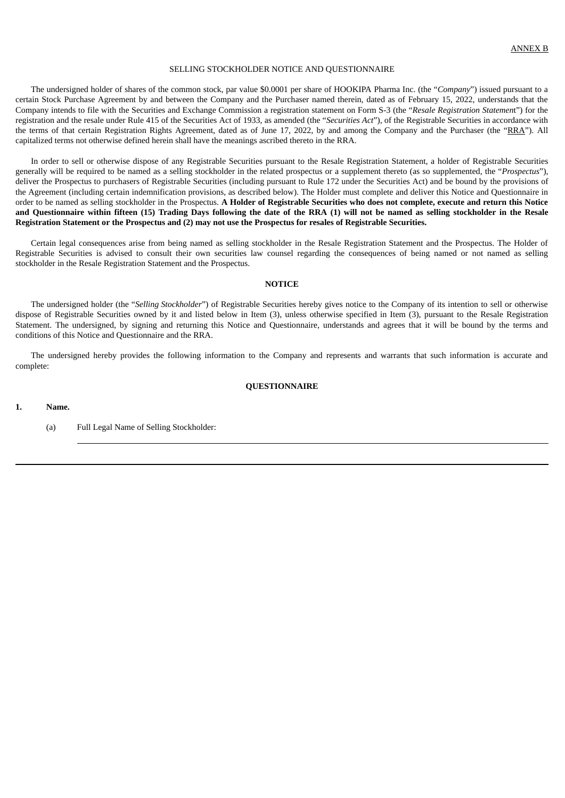#### SELLING STOCKHOLDER NOTICE AND QUESTIONNAIRE

The undersigned holder of shares of the common stock, par value \$0.0001 per share of HOOKIPA Pharma Inc. (the "*Company*") issued pursuant to a certain Stock Purchase Agreement by and between the Company and the Purchaser named therein, dated as of February 15, 2022, understands that the Company intends to file with the Securities and Exchange Commission a registration statement on Form S-3 (the "*Resale Registration Statemen*t") for the registration and the resale under Rule 415 of the Securities Act of 1933, as amended (the "*Securities Act*"), of the Registrable Securities in accordance with the terms of that certain Registration Rights Agreement, dated as of June 17, 2022, by and among the Company and the Purchaser (the "RRA"). All capitalized terms not otherwise defined herein shall have the meanings ascribed thereto in the RRA.

In order to sell or otherwise dispose of any Registrable Securities pursuant to the Resale Registration Statement, a holder of Registrable Securities generally will be required to be named as a selling stockholder in the related prospectus or a supplement thereto (as so supplemented, the "*Prospectus*"), deliver the Prospectus to purchasers of Registrable Securities (including pursuant to Rule 172 under the Securities Act) and be bound by the provisions of the Agreement (including certain indemnification provisions, as described below). The Holder must complete and deliver this Notice and Questionnaire in order to be named as selling stockholder in the Prospectus. A Holder of Registrable Securities who does not complete, execute and return this Notice and Questionnaire within fifteen (15) Trading Days following the date of the RRA (1) will not be named as selling stockholder in the Resale Registration Statement or the Prospectus and (2) may not use the Prospectus for resales of Registrable Securities.

Certain legal consequences arise from being named as selling stockholder in the Resale Registration Statement and the Prospectus. The Holder of Registrable Securities is advised to consult their own securities law counsel regarding the consequences of being named or not named as selling stockholder in the Resale Registration Statement and the Prospectus.

#### **NOTICE**

The undersigned holder (the "*Selling Stockholder*") of Registrable Securities hereby gives notice to the Company of its intention to sell or otherwise dispose of Registrable Securities owned by it and listed below in Item (3), unless otherwise specified in Item (3), pursuant to the Resale Registration Statement. The undersigned, by signing and returning this Notice and Questionnaire, understands and agrees that it will be bound by the terms and conditions of this Notice and Questionnaire and the RRA.

The undersigned hereby provides the following information to the Company and represents and warrants that such information is accurate and complete:

#### **QUESTIONNAIRE**

#### **1. Name.**

(a) Full Legal Name of Selling Stockholder: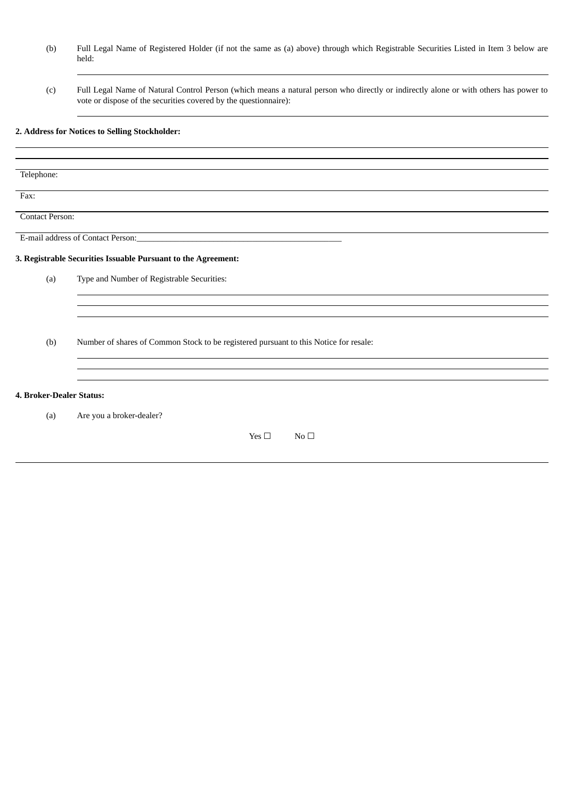- (b) Full Legal Name of Registered Holder (if not the same as (a) above) through which Registrable Securities Listed in Item 3 below are held:
- (c) Full Legal Name of Natural Control Person (which means a natural person who directly or indirectly alone or with others has power to vote or dispose of the securities covered by the questionnaire):

## **2. Address for Notices to Selling Stockholder:**

| Telephone:               |                                                                                       |
|--------------------------|---------------------------------------------------------------------------------------|
| Fax:                     |                                                                                       |
| <b>Contact Person:</b>   |                                                                                       |
|                          |                                                                                       |
|                          | 3. Registrable Securities Issuable Pursuant to the Agreement:                         |
| (a)                      | Type and Number of Registrable Securities:                                            |
|                          |                                                                                       |
|                          |                                                                                       |
| (b)                      | Number of shares of Common Stock to be registered pursuant to this Notice for resale: |
|                          |                                                                                       |
| 4. Broker-Dealer Status: |                                                                                       |
| (a)                      | Are you a broker-dealer?                                                              |
|                          | Yes $\Box$<br>No <sub>1</sub>                                                         |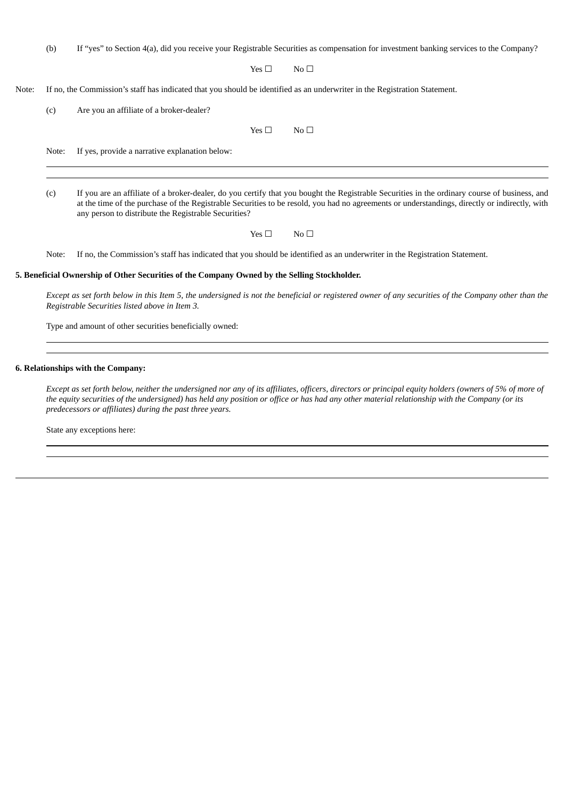(b) If "yes" to Section 4(a), did you receive your Registrable Securities as compensation for investment banking services to the Company?

Yes  $□$  No  $□$ 

Note: If no, the Commission's staff has indicated that you should be identified as an underwriter in the Registration Statement.

(c) Are you an affiliate of a broker-dealer?

Yes  $\square$  No  $\square$ 

Note: If yes, provide a narrative explanation below:

(c) If you are an affiliate of a broker-dealer, do you certify that you bought the Registrable Securities in the ordinary course of business, and at the time of the purchase of the Registrable Securities to be resold, you had no agreements or understandings, directly or indirectly, with any person to distribute the Registrable Securities?

Yes  $\square$  No  $\square$ 

Note: If no, the Commission's staff has indicated that you should be identified as an underwriter in the Registration Statement.

#### **5. Beneficial Ownership of Other Securities of the Company Owned by the Selling Stockholder.**

Except as set forth below in this Item 5, the undersigned is not the beneficial or registered owner of any securities of the Company other than the *Registrable Securities listed above in Item 3.*

Type and amount of other securities beneficially owned:

#### **6. Relationships with the Company:**

Except as set forth below, neither the undersigned nor any of its affiliates, officers, directors or principal equity holders (owners of 5% of more of the equity securities of the undersigned) has held any position or office or has had any other material relationship with the Company (or its *predecessors or affiliates) during the past three years.*

State any exceptions here: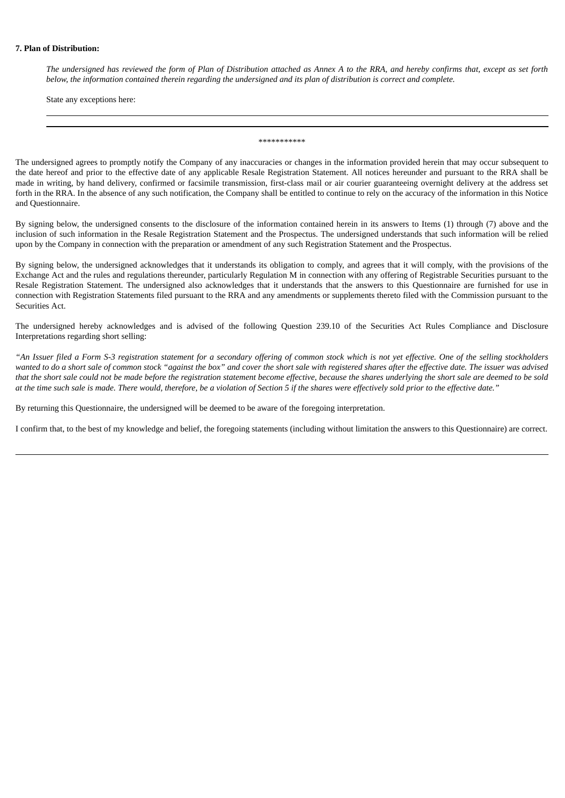#### **7. Plan of Distribution:**

The undersigned has reviewed the form of Plan of Distribution attached as Annex A to the RRA, and hereby confirms that, except as set forth below, the information contained therein regarding the undersigned and its plan of distribution is correct and complete.

State any exceptions here:

\*\*\*\*\*\*\*\*\*\*\*

The undersigned agrees to promptly notify the Company of any inaccuracies or changes in the information provided herein that may occur subsequent to the date hereof and prior to the effective date of any applicable Resale Registration Statement. All notices hereunder and pursuant to the RRA shall be made in writing, by hand delivery, confirmed or facsimile transmission, first-class mail or air courier guaranteeing overnight delivery at the address set forth in the RRA. In the absence of any such notification, the Company shall be entitled to continue to rely on the accuracy of the information in this Notice and Questionnaire.

By signing below, the undersigned consents to the disclosure of the information contained herein in its answers to Items (1) through (7) above and the inclusion of such information in the Resale Registration Statement and the Prospectus. The undersigned understands that such information will be relied upon by the Company in connection with the preparation or amendment of any such Registration Statement and the Prospectus.

By signing below, the undersigned acknowledges that it understands its obligation to comply, and agrees that it will comply, with the provisions of the Exchange Act and the rules and regulations thereunder, particularly Regulation M in connection with any offering of Registrable Securities pursuant to the Resale Registration Statement. The undersigned also acknowledges that it understands that the answers to this Questionnaire are furnished for use in connection with Registration Statements filed pursuant to the RRA and any amendments or supplements thereto filed with the Commission pursuant to the Securities Act.

The undersigned hereby acknowledges and is advised of the following Question 239.10 of the Securities Act Rules Compliance and Disclosure Interpretations regarding short selling:

"An Issuer filed a Form S-3 registration statement for a secondary offering of common stock which is not yet effective. One of the selling stockholders wanted to do a short sale of common stock "against the box" and cover the short sale with registered shares after the effective date. The issuer was advised that the short sale could not be made before the registration statement become effective, because the shares underlying the short sale are deemed to be sold at the time such sale is made. There would, therefore, be a violation of Section 5 if the shares were effectively sold prior to the effective date."

By returning this Questionnaire, the undersigned will be deemed to be aware of the foregoing interpretation.

I confirm that, to the best of my knowledge and belief, the foregoing statements (including without limitation the answers to this Questionnaire) are correct.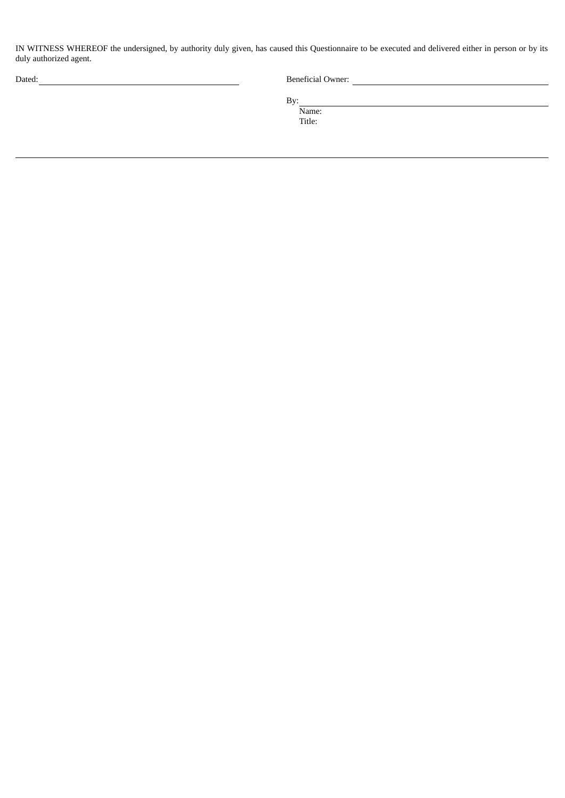IN WITNESS WHEREOF the undersigned, by authority duly given, has caused this Questionnaire to be executed and delivered either in person or by its duly authorized agent.

| ×<br>I |  |
|--------|--|

Beneficial Owner:

By:

Name: Title: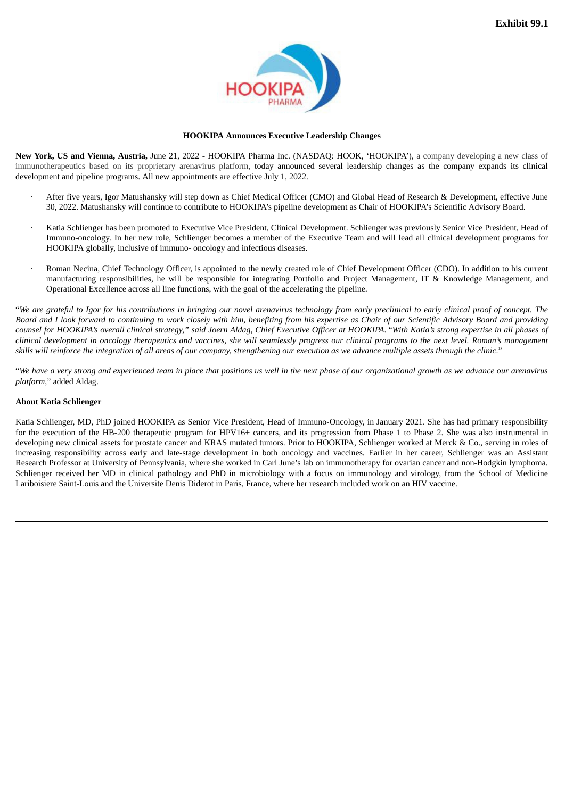

#### **HOOKIPA Announces Executive Leadership Changes**

<span id="page-27-0"></span>**New York, US and Vienna, Austria,** June 21, 2022 - HOOKIPA Pharma Inc. (NASDAQ: HOOK, 'HOOKIPA'), a company developing a new class of immunotherapeutics based on its proprietary arenavirus platform, today announced several leadership changes as the company expands its clinical development and pipeline programs. All new appointments are effective July 1, 2022.

- · After five years, Igor Matushansky will step down as Chief Medical Officer (CMO) and Global Head of Research & Development, effective June 30, 2022. Matushansky will continue to contribute to HOOKIPA's pipeline development as Chair of HOOKIPA's Scientific Advisory Board.
- · Katia Schlienger has been promoted to Executive Vice President, Clinical Development. Schlienger was previously Senior Vice President, Head of Immuno-oncology. In her new role, Schlienger becomes a member of the Executive Team and will lead all clinical development programs for HOOKIPA globally, inclusive of immuno- oncology and infectious diseases.
- · Roman Necina, Chief Technology Officer, is appointed to the newly created role of Chief Development Officer (CDO). In addition to his current manufacturing responsibilities, he will be responsible for integrating Portfolio and Project Management, IT & Knowledge Management, and Operational Excellence across all line functions, with the goal of the accelerating the pipeline.

"We are grateful to Igor for his contributions in bringing our novel arenavirus technology from early preclinical to early clinical proof of concept. The Board and I look forward to continuing to work closely with him, benefiting from his expertise as Chair of our Scientific Advisory Board and providing counsel for HOOKIPA's overall clinical strategy," said Joern Aldag, Chief Executive Officer at HOOKIPA. "With Katia's strong expertise in all phases of clinical development in oncology therapeutics and vaccines, she will seamlessly progress our clinical programs to the next level. Roman's management skills will reinforce the integration of all areas of our company, strengthening our execution as we advance multiple assets through the clinic."

"We have a very strong and experienced team in place that positions us well in the next phase of our organizational growth as we advance our arenavirus *platform*," added Aldag.

#### **About Katia Schlienger**

Katia Schlienger, MD, PhD joined HOOKIPA as Senior Vice President, Head of Immuno-Oncology, in January 2021. She has had primary responsibility for the execution of the HB-200 therapeutic program for HPV16+ cancers, and its progression from Phase 1 to Phase 2. She was also instrumental in developing new clinical assets for prostate cancer and KRAS mutated tumors. Prior to HOOKIPA, Schlienger worked at Merck & Co., serving in roles of increasing responsibility across early and late-stage development in both oncology and vaccines. Earlier in her career, Schlienger was an Assistant Research Professor at University of Pennsylvania, where she worked in Carl June's lab on immunotherapy for ovarian cancer and non-Hodgkin lymphoma. Schlienger received her MD in clinical pathology and PhD in microbiology with a focus on immunology and virology, from the School of Medicine Lariboisiere Saint-Louis and the Universite Denis Diderot in Paris, France, where her research included work on an HIV vaccine.